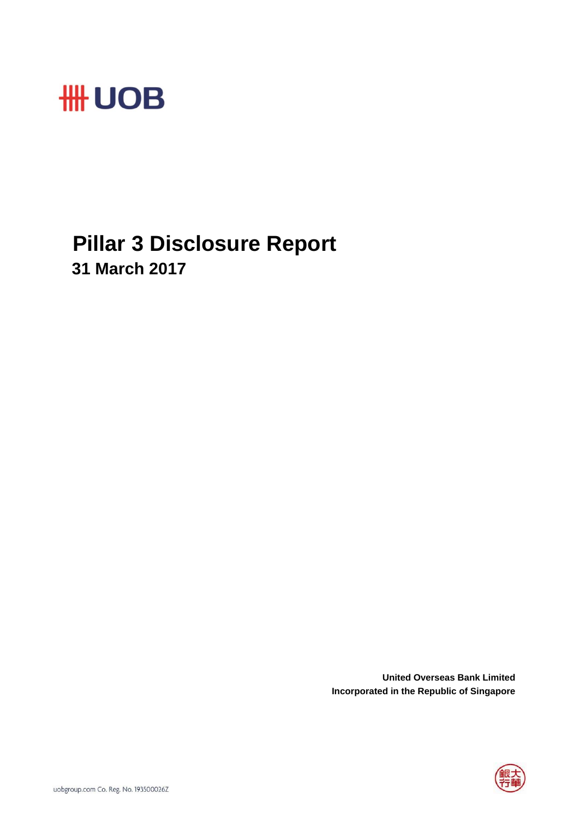

## **Pillar 3 Disclosure Report 31 March 2017**

**United Overseas Bank Limited Incorporated in the Republic of Singapore**

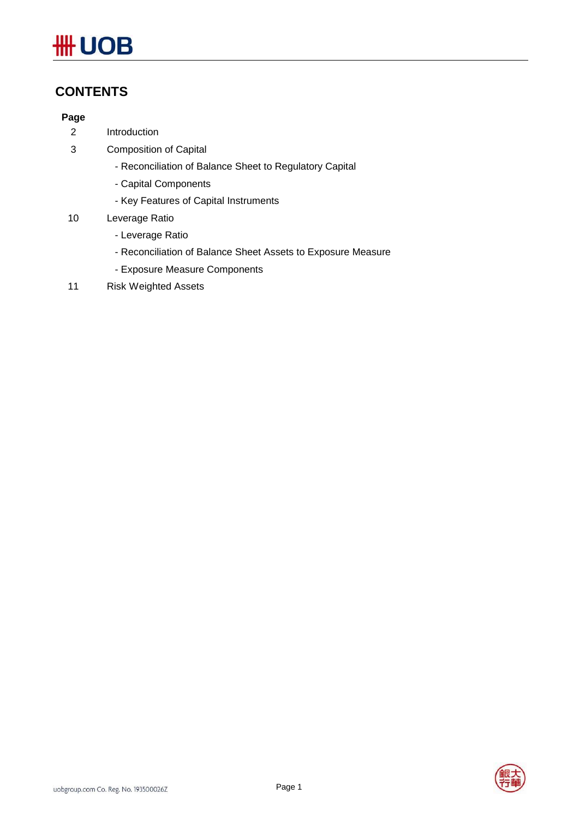## **\HH UOB**

## **CONTENTS**

## **Page**

- 2 Introduction
- 3 Composition of Capital
	- Reconciliation of Balance Sheet to Regulatory Capital
	- Capital Components
	- Key Features of Capital Instruments
- 10 Leverage Ratio
	- Leverage Ratio
	- Reconciliation of Balance Sheet Assets to Exposure Measure
	- Exposure Measure Components
- 11 Risk Weighted Assets

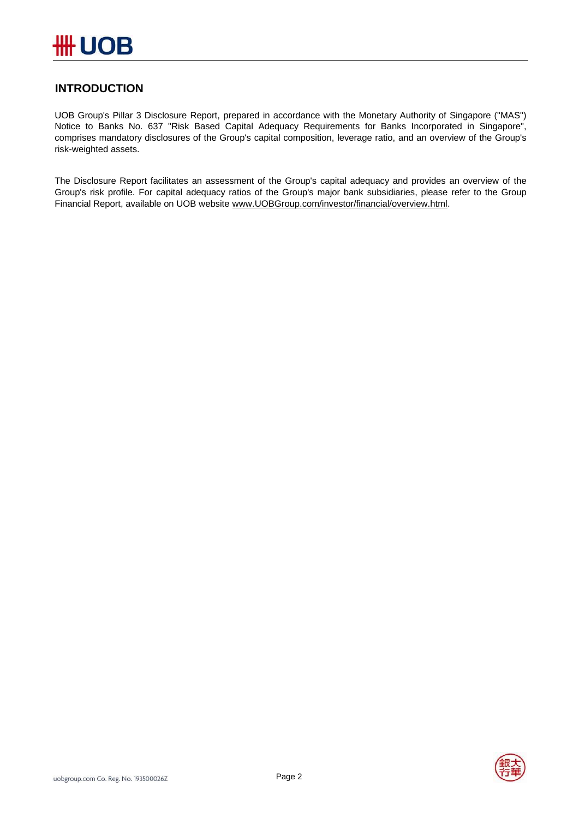

## **INTRODUCTION**

UOB Group's Pillar 3 Disclosure Report, prepared in accordance with the Monetary Authority of Singapore ("MAS") Notice to Banks No. 637 "Risk Based Capital Adequacy Requirements for Banks Incorporated in Singapore", comprises mandatory disclosures of the Group's capital composition, leverage ratio, and an overview of the Group's risk-weighted assets.

The Disclosure Report facilitates an assessment of the Group's capital adequacy and provides an overview of the Group's risk profile. For capital adequacy ratios of the Group's major bank subsidiaries, please refer to the Group Financial Report, available on UOB website www.UOBGroup.com/investor/financial/overview.html.

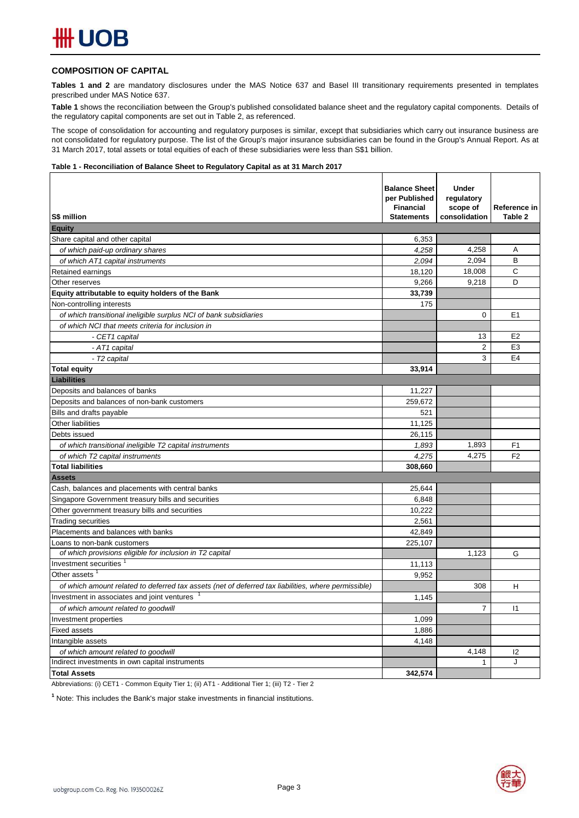### **COMPOSITION OF CAPITAL**

**Tables 1 and 2** are mandatory disclosures under the MAS Notice 637 and Basel III transitionary requirements presented in templates prescribed under MAS Notice 637.

**Table 1** shows the reconciliation between the Group's published consolidated balance sheet and the regulatory capital components. Details of the regulatory capital components are set out in Table 2, as referenced.

The scope of consolidation for accounting and regulatory purposes is similar, except that subsidiaries which carry out insurance business are not consolidated for regulatory purpose. The list of the Group's major insurance subsidiaries can be found in the Group's Annual Report. As at 31 March 2017, total assets or total equities of each of these subsidiaries were less than S\$1 billion.

#### **Table 1 - Reconciliation of Balance Sheet to Regulatory Capital as at 31 March 2017**

| S\$ million                                                                                         | <b>Balance Sheet</b><br>per Published<br><b>Financial</b><br><b>Statements</b> | <b>Under</b><br>regulatory<br>scope of<br>consolidation | Reference in<br>Table 2 |
|-----------------------------------------------------------------------------------------------------|--------------------------------------------------------------------------------|---------------------------------------------------------|-------------------------|
| <b>Equity</b>                                                                                       |                                                                                |                                                         |                         |
| Share capital and other capital                                                                     | 6,353                                                                          |                                                         |                         |
| of which paid-up ordinary shares                                                                    | 4,258                                                                          | 4,258                                                   | Α                       |
| of which AT1 capital instruments                                                                    | 2.094                                                                          | 2,094                                                   | B                       |
| Retained earnings                                                                                   | 18,120                                                                         | 18,008                                                  | C                       |
| Other reserves                                                                                      | 9.266                                                                          | 9,218                                                   | D                       |
| Equity attributable to equity holders of the Bank                                                   | 33.739                                                                         |                                                         |                         |
| Non-controlling interests                                                                           | 175                                                                            |                                                         |                         |
| of which transitional ineligible surplus NCI of bank subsidiaries                                   |                                                                                | $\Omega$                                                | E <sub>1</sub>          |
| of which NCI that meets criteria for inclusion in                                                   |                                                                                |                                                         |                         |
| - CET1 capital                                                                                      |                                                                                | 13                                                      | E <sub>2</sub>          |
| - AT1 capital                                                                                       |                                                                                | $\overline{2}$                                          | E <sub>3</sub>          |
| - T2 capital                                                                                        |                                                                                | 3                                                       | E <sub>4</sub>          |
| <b>Total equity</b>                                                                                 | 33,914                                                                         |                                                         |                         |
| Liabilities                                                                                         |                                                                                |                                                         |                         |
| Deposits and balances of banks                                                                      | 11,227                                                                         |                                                         |                         |
| Deposits and balances of non-bank customers                                                         | 259,672                                                                        |                                                         |                         |
| Bills and drafts payable                                                                            | 521                                                                            |                                                         |                         |
| Other liabilities                                                                                   | 11,125                                                                         |                                                         |                         |
| Debts issued                                                                                        | 26,115                                                                         |                                                         |                         |
| of which transitional ineligible T2 capital instruments                                             | 1,893                                                                          | 1,893                                                   | F <sub>1</sub>          |
| of which T2 capital instruments                                                                     | 4,275                                                                          | 4.275                                                   | F <sub>2</sub>          |
| <b>Total liabilities</b>                                                                            | 308,660                                                                        |                                                         |                         |
| <b>Assets</b>                                                                                       |                                                                                |                                                         |                         |
| Cash, balances and placements with central banks                                                    | 25,644                                                                         |                                                         |                         |
| Singapore Government treasury bills and securities                                                  | 6,848                                                                          |                                                         |                         |
| Other government treasury bills and securities                                                      | 10,222                                                                         |                                                         |                         |
| <b>Trading securities</b>                                                                           | 2,561                                                                          |                                                         |                         |
| Placements and balances with banks                                                                  | 42,849                                                                         |                                                         |                         |
| Loans to non-bank customers                                                                         | 225,107                                                                        |                                                         |                         |
| of which provisions eligible for inclusion in T2 capital                                            |                                                                                | 1.123                                                   | G                       |
| Investment securities                                                                               | 11,113                                                                         |                                                         |                         |
| Other assets                                                                                        | 9,952                                                                          |                                                         |                         |
| of which amount related to deferred tax assets (net of deferred tax liabilities, where permissible) |                                                                                | 308                                                     | H                       |
| Investment in associates and joint ventures                                                         | 1,145                                                                          |                                                         |                         |
| of which amount related to goodwill                                                                 |                                                                                | 7                                                       | 1                       |
| Investment properties                                                                               | 1,099                                                                          |                                                         |                         |
| <b>Fixed assets</b>                                                                                 | 1,886                                                                          |                                                         |                         |
| Intangible assets                                                                                   | 4,148                                                                          |                                                         |                         |
| of which amount related to goodwill                                                                 |                                                                                | 4,148                                                   | 12                      |
| Indirect investments in own capital instruments                                                     |                                                                                | 1                                                       | J                       |
| <b>Total Assets</b>                                                                                 | 342,574                                                                        |                                                         |                         |

Abbreviations: (i) CET1 - Common Equity Tier 1; (ii) AT1 - Additional Tier 1; (iii) T2 - Tier 2

<sup>1</sup> Note: This includes the Bank's major stake investments in financial institutions.

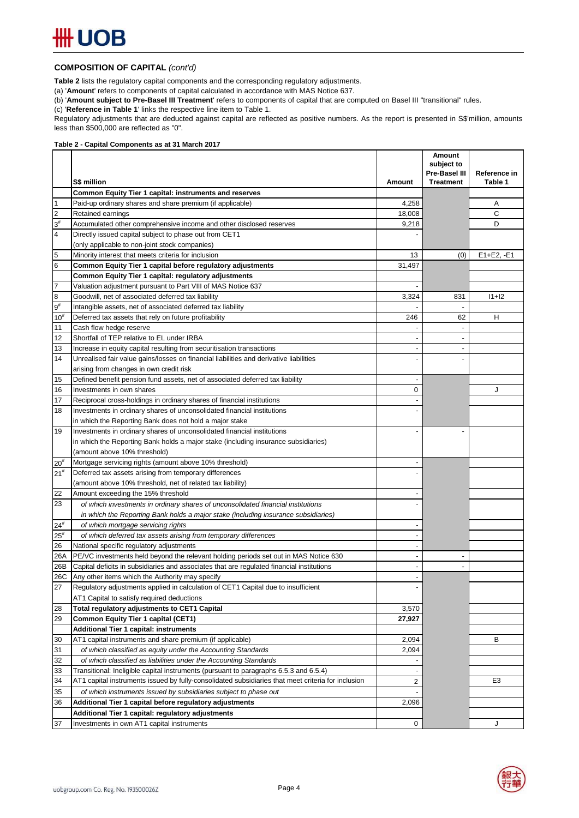#### **COMPOSITION OF CAPITAL** *(cont'd)*

**Table 2** lists the regulatory capital components and the corresponding regulatory adjustments.

(a) '**Amount**' refers to components of capital calculated in accordance with MAS Notice 637.

(b) '**Amount subject to Pre-Basel III Treatment**' refers to components of capital that are computed on Basel III "transitional" rules.

(c) '**Reference in Table 1**' links the respective line item to Table 1.

Regulatory adjustments that are deducted against capital are reflected as positive numbers. As the report is presented in S\$'million, amounts less than \$500,000 are reflected as "0".

#### **Table 2 - Capital Components as at 31 March 2017**

|                 |                                                                                                    |                          | Amount<br>subject to |                |
|-----------------|----------------------------------------------------------------------------------------------------|--------------------------|----------------------|----------------|
|                 |                                                                                                    |                          | Pre-Basel III        | Reference in   |
|                 | S\$ million                                                                                        | Amount                   | <b>Treatment</b>     | Table 1        |
|                 | Common Equity Tier 1 capital: instruments and reserves                                             |                          |                      |                |
| $\overline{1}$  | Paid-up ordinary shares and share premium (if applicable)                                          | 4,258                    |                      | Α              |
| $\overline{c}$  | Retained earnings                                                                                  | 18,008                   |                      | С              |
| $3\#$           | Accumulated other comprehensive income and other disclosed reserves                                | 9,218                    |                      | D              |
| $\overline{4}$  | Directly issued capital subject to phase out from CET1                                             |                          |                      |                |
|                 | (only applicable to non-joint stock companies)                                                     |                          |                      |                |
| 5               | Minority interest that meets criteria for inclusion                                                | 13                       | (0)                  | $E1 + E2, -E1$ |
| $6\phantom{.}6$ | Common Equity Tier 1 capital before regulatory adjustments                                         | 31,497                   |                      |                |
|                 | Common Equity Tier 1 capital: regulatory adjustments                                               |                          |                      |                |
| $\overline{7}$  | Valuation adjustment pursuant to Part VIII of MAS Notice 637                                       |                          |                      |                |
| $\bf{8}$        | Goodwill, net of associated deferred tax liability                                                 | 3,324                    | 831                  | $11 + 12$      |
| $9^{\#}$        | Intangible assets, net of associated deferred tax liability                                        |                          | $\blacksquare$       |                |
| 10 <sup>#</sup> | Deferred tax assets that rely on future profitability                                              | 246                      | 62                   | н              |
| 11              | Cash flow hedge reserve                                                                            |                          | $\blacksquare$       |                |
| 12              | Shortfall of TEP relative to EL under IRBA                                                         |                          | $\blacksquare$       |                |
| 13              | Increase in equity capital resulting from securitisation transactions                              |                          |                      |                |
| 14              | Unrealised fair value gains/losses on financial liabilities and derivative liabilities             |                          |                      |                |
|                 | arising from changes in own credit risk                                                            |                          |                      |                |
| 15              | Defined benefit pension fund assets, net of associated deferred tax liability                      | $\overline{\phantom{a}}$ |                      |                |
| 16              | Investments in own shares                                                                          | 0                        |                      | J              |
| 17              | Reciprocal cross-holdings in ordinary shares of financial institutions                             |                          |                      |                |
| 18              | Investments in ordinary shares of unconsolidated financial institutions                            |                          |                      |                |
|                 | in which the Reporting Bank does not hold a major stake                                            |                          |                      |                |
| 19              | Investments in ordinary shares of unconsolidated financial institutions                            |                          |                      |                |
|                 | in which the Reporting Bank holds a major stake (including insurance subsidiaries)                 |                          |                      |                |
|                 | (amount above 10% threshold)                                                                       |                          |                      |                |
| $20^{#}$        | Mortgage servicing rights (amount above 10% threshold)                                             |                          |                      |                |
| 21 <sup>#</sup> | Deferred tax assets arising from temporary differences                                             |                          |                      |                |
|                 | (amount above 10% threshold, net of related tax liability)                                         |                          |                      |                |
| 22              | Amount exceeding the 15% threshold                                                                 |                          |                      |                |
| 23              | of which investments in ordinary shares of unconsolidated financial institutions                   |                          |                      |                |
|                 | in which the Reporting Bank holds a major stake (including insurance subsidiaries)                 |                          |                      |                |
| $24^{\#}$       | of which mortgage servicing rights                                                                 |                          |                      |                |
| $25^{\rm \#}$   | of which deferred tax assets arising from temporary differences                                    |                          |                      |                |
| 26              | National specific regulatory adjustments                                                           |                          |                      |                |
| 26A             | PE/VC investments held beyond the relevant holding periods set out in MAS Notice 630               |                          |                      |                |
| 26B             | Capital deficits in subsidiaries and associates that are regulated financial institutions          | $\blacksquare$           | $\blacksquare$       |                |
| 26C             | Any other items which the Authority may specify                                                    |                          |                      |                |
| 27              | Regulatory adjustments applied in calculation of CET1 Capital due to insufficient                  |                          |                      |                |
|                 | AT1 Capital to satisfy required deductions                                                         |                          |                      |                |
| 28              | Total regulatory adjustments to CET1 Capital                                                       | 3,570                    |                      |                |
| 29              | Common Equity Tier 1 capital (CET1)                                                                | 27,927                   |                      |                |
|                 | <b>Additional Tier 1 capital: instruments</b>                                                      |                          |                      |                |
| 30              | AT1 capital instruments and share premium (if applicable)                                          | 2,094                    |                      | B              |
| 31              | of which classified as equity under the Accounting Standards                                       | 2,094                    |                      |                |
| 32              | of which classified as liabilities under the Accounting Standards                                  |                          |                      |                |
| 33              | Transitional: Ineligible capital instruments (pursuant to paragraphs 6.5.3 and 6.5.4)              |                          |                      |                |
| 34              | AT1 capital instruments issued by fully-consolidated subsidiaries that meet criteria for inclusion | 2                        |                      | E3             |
| 35              | of which instruments issued by subsidiaries subject to phase out                                   |                          |                      |                |
| 36              | Additional Tier 1 capital before regulatory adjustments                                            | 2,096                    |                      |                |
|                 | Additional Tier 1 capital: regulatory adjustments                                                  |                          |                      |                |
| 37              | Investments in own AT1 capital instruments                                                         | 0                        |                      | J              |

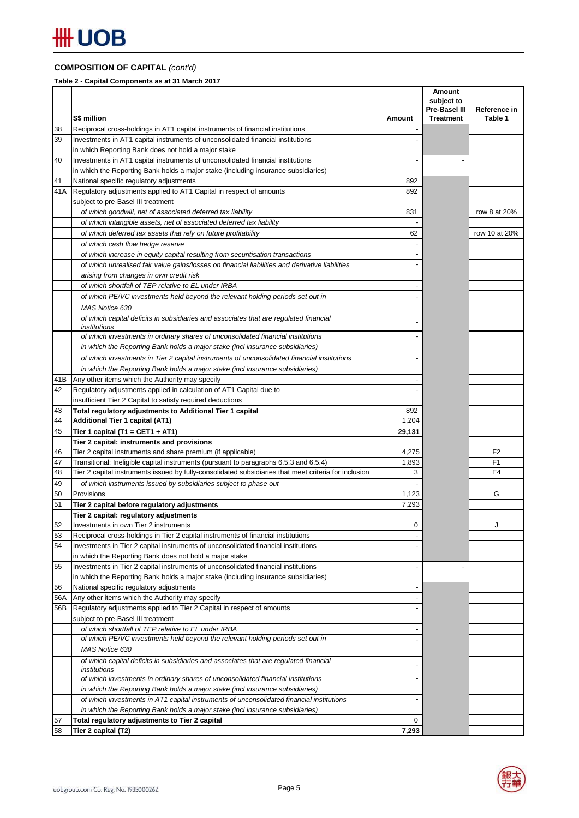## **COMPOSITION OF CAPITAL** *(cont'd)*

**Table 2 - Capital Components as at 31 March 2017**

| Reciprocal cross-holdings in AT1 capital instruments of financial institutions<br>38<br>39<br>Investments in AT1 capital instruments of unconsolidated financial institutions<br>in which Reporting Bank does not hold a major stake<br>40<br>Investments in AT1 capital instruments of unconsolidated financial institutions<br>in which the Reporting Bank holds a major stake (including insurance subsidiaries)<br>National specific regulatory adjustments<br>41<br>892<br>Regulatory adjustments applied to AT1 Capital in respect of amounts<br>41 A<br>892<br>subject to pre-Basel III treatment<br>831<br>row 8 at 20%<br>of which goodwill, net of associated deferred tax liability<br>of which intangible assets, net of associated deferred tax liability<br>of which deferred tax assets that rely on future profitability<br>62<br>row 10 at 20%<br>of which cash flow hedge reserve<br>of which increase in equity capital resulting from securitisation transactions<br>of which unrealised fair value gains/losses on financial liabilities and derivative liabilities<br>arising from changes in own credit risk<br>of which shortfall of TEP relative to EL under IRBA<br>of which PE/VC investments held beyond the relevant holding periods set out in<br>MAS Notice 630<br>of which capital deficits in subsidiaries and associates that are regulated financial<br>institutions<br>of which investments in ordinary shares of unconsolidated financial institutions<br>in which the Reporting Bank holds a major stake (incl insurance subsidiaries)<br>of which investments in Tier 2 capital instruments of unconsolidated financial institutions<br>in which the Reporting Bank holds a major stake (incl insurance subsidiaries)<br>41B<br>Any other items which the Authority may specify<br>42<br>Regulatory adjustments applied in calculation of AT1 Capital due to<br>insufficient Tier 2 Capital to satisfy required deductions<br>43<br>Total regulatory adjustments to Additional Tier 1 capital<br>892<br>44<br>1,204<br><b>Additional Tier 1 capital (AT1)</b><br>45<br>Tier 1 capital (T1 = CET1 + AT1)<br>29,131<br>Tier 2 capital: instruments and provisions<br>F <sub>2</sub><br>Tier 2 capital instruments and share premium (if applicable)<br>4,275<br>46<br>F <sub>1</sub><br>47<br>Transitional: Ineligible capital instruments (pursuant to paragraphs 6.5.3 and 6.5.4)<br>1,893<br>48<br>Tier 2 capital instruments issued by fully-consolidated subsidiaries that meet criteria for inclusion<br>E4<br>3<br>49<br>of which instruments issued by subsidiaries subject to phase out<br>50<br>Provisions<br>G<br>1,123<br>51<br>7,293<br>Tier 2 capital before regulatory adjustments<br>Tier 2 capital: regulatory adjustments<br>52<br>Investments in own Tier 2 instruments<br>0<br>J<br>53<br>Reciprocal cross-holdings in Tier 2 capital instruments of financial institutions<br>54<br>Investments in Tier 2 capital instruments of unconsolidated financial institutions<br>in which the Reporting Bank does not hold a major stake<br>Investments in Tier 2 capital instruments of unconsolidated financial institutions<br>55<br>in which the Reporting Bank holds a major stake (including insurance subsidiaries)<br>56<br>National specific regulatory adjustments<br>$\overline{a}$<br>Any other items which the Authority may specify<br>56A<br>Regulatory adjustments applied to Tier 2 Capital in respect of amounts<br>56B<br>subject to pre-Basel III treatment<br>of which shortfall of TEP relative to EL under IRBA<br>of which PE/VC investments held beyond the relevant holding periods set out in<br>MAS Notice 630<br>of which capital deficits in subsidiaries and associates that are regulated financial<br>institutions<br>of which investments in ordinary shares of unconsolidated financial institutions<br>in which the Reporting Bank holds a major stake (incl insurance subsidiaries)<br>of which investments in AT1 capital instruments of unconsolidated financial institutions<br>in which the Reporting Bank holds a major stake (incl insurance subsidiaries)<br>0<br>Total regulatory adjustments to Tier 2 capital<br>7,293<br>Tier 2 capital (T2) |    |             |        | Amount<br>subject to<br>Pre-Basel III | Reference in |
|-------------------------------------------------------------------------------------------------------------------------------------------------------------------------------------------------------------------------------------------------------------------------------------------------------------------------------------------------------------------------------------------------------------------------------------------------------------------------------------------------------------------------------------------------------------------------------------------------------------------------------------------------------------------------------------------------------------------------------------------------------------------------------------------------------------------------------------------------------------------------------------------------------------------------------------------------------------------------------------------------------------------------------------------------------------------------------------------------------------------------------------------------------------------------------------------------------------------------------------------------------------------------------------------------------------------------------------------------------------------------------------------------------------------------------------------------------------------------------------------------------------------------------------------------------------------------------------------------------------------------------------------------------------------------------------------------------------------------------------------------------------------------------------------------------------------------------------------------------------------------------------------------------------------------------------------------------------------------------------------------------------------------------------------------------------------------------------------------------------------------------------------------------------------------------------------------------------------------------------------------------------------------------------------------------------------------------------------------------------------------------------------------------------------------------------------------------------------------------------------------------------------------------------------------------------------------------------------------------------------------------------------------------------------------------------------------------------------------------------------------------------------------------------------------------------------------------------------------------------------------------------------------------------------------------------------------------------------------------------------------------------------------------------------------------------------------------------------------------------------------------------------------------------------------------------------------------------------------------------------------------------------------------------------------------------------------------------------------------------------------------------------------------------------------------------------------------------------------------------------------------------------------------------------------------------------------------------------------------------------------------------------------------------------------------------------------------------------------------------------------------------------------------------------------------------------------------------------------------------------------------------------------------------------------------------------------------------------------------------------------------------------------------------------------------------------------------------------------------------------------------------------------------------------------------------------------------------------------------------------------|----|-------------|--------|---------------------------------------|--------------|
|                                                                                                                                                                                                                                                                                                                                                                                                                                                                                                                                                                                                                                                                                                                                                                                                                                                                                                                                                                                                                                                                                                                                                                                                                                                                                                                                                                                                                                                                                                                                                                                                                                                                                                                                                                                                                                                                                                                                                                                                                                                                                                                                                                                                                                                                                                                                                                                                                                                                                                                                                                                                                                                                                                                                                                                                                                                                                                                                                                                                                                                                                                                                                                                                                                                                                                                                                                                                                                                                                                                                                                                                                                                                                                                                                                                                                                                                                                                                                                                                                                                                                                                                                                                                                                                 |    | S\$ million | Amount | <b>Treatment</b>                      | Table 1      |
|                                                                                                                                                                                                                                                                                                                                                                                                                                                                                                                                                                                                                                                                                                                                                                                                                                                                                                                                                                                                                                                                                                                                                                                                                                                                                                                                                                                                                                                                                                                                                                                                                                                                                                                                                                                                                                                                                                                                                                                                                                                                                                                                                                                                                                                                                                                                                                                                                                                                                                                                                                                                                                                                                                                                                                                                                                                                                                                                                                                                                                                                                                                                                                                                                                                                                                                                                                                                                                                                                                                                                                                                                                                                                                                                                                                                                                                                                                                                                                                                                                                                                                                                                                                                                                                 |    |             |        |                                       |              |
|                                                                                                                                                                                                                                                                                                                                                                                                                                                                                                                                                                                                                                                                                                                                                                                                                                                                                                                                                                                                                                                                                                                                                                                                                                                                                                                                                                                                                                                                                                                                                                                                                                                                                                                                                                                                                                                                                                                                                                                                                                                                                                                                                                                                                                                                                                                                                                                                                                                                                                                                                                                                                                                                                                                                                                                                                                                                                                                                                                                                                                                                                                                                                                                                                                                                                                                                                                                                                                                                                                                                                                                                                                                                                                                                                                                                                                                                                                                                                                                                                                                                                                                                                                                                                                                 |    |             |        |                                       |              |
|                                                                                                                                                                                                                                                                                                                                                                                                                                                                                                                                                                                                                                                                                                                                                                                                                                                                                                                                                                                                                                                                                                                                                                                                                                                                                                                                                                                                                                                                                                                                                                                                                                                                                                                                                                                                                                                                                                                                                                                                                                                                                                                                                                                                                                                                                                                                                                                                                                                                                                                                                                                                                                                                                                                                                                                                                                                                                                                                                                                                                                                                                                                                                                                                                                                                                                                                                                                                                                                                                                                                                                                                                                                                                                                                                                                                                                                                                                                                                                                                                                                                                                                                                                                                                                                 |    |             |        |                                       |              |
|                                                                                                                                                                                                                                                                                                                                                                                                                                                                                                                                                                                                                                                                                                                                                                                                                                                                                                                                                                                                                                                                                                                                                                                                                                                                                                                                                                                                                                                                                                                                                                                                                                                                                                                                                                                                                                                                                                                                                                                                                                                                                                                                                                                                                                                                                                                                                                                                                                                                                                                                                                                                                                                                                                                                                                                                                                                                                                                                                                                                                                                                                                                                                                                                                                                                                                                                                                                                                                                                                                                                                                                                                                                                                                                                                                                                                                                                                                                                                                                                                                                                                                                                                                                                                                                 |    |             |        |                                       |              |
|                                                                                                                                                                                                                                                                                                                                                                                                                                                                                                                                                                                                                                                                                                                                                                                                                                                                                                                                                                                                                                                                                                                                                                                                                                                                                                                                                                                                                                                                                                                                                                                                                                                                                                                                                                                                                                                                                                                                                                                                                                                                                                                                                                                                                                                                                                                                                                                                                                                                                                                                                                                                                                                                                                                                                                                                                                                                                                                                                                                                                                                                                                                                                                                                                                                                                                                                                                                                                                                                                                                                                                                                                                                                                                                                                                                                                                                                                                                                                                                                                                                                                                                                                                                                                                                 |    |             |        |                                       |              |
|                                                                                                                                                                                                                                                                                                                                                                                                                                                                                                                                                                                                                                                                                                                                                                                                                                                                                                                                                                                                                                                                                                                                                                                                                                                                                                                                                                                                                                                                                                                                                                                                                                                                                                                                                                                                                                                                                                                                                                                                                                                                                                                                                                                                                                                                                                                                                                                                                                                                                                                                                                                                                                                                                                                                                                                                                                                                                                                                                                                                                                                                                                                                                                                                                                                                                                                                                                                                                                                                                                                                                                                                                                                                                                                                                                                                                                                                                                                                                                                                                                                                                                                                                                                                                                                 |    |             |        |                                       |              |
|                                                                                                                                                                                                                                                                                                                                                                                                                                                                                                                                                                                                                                                                                                                                                                                                                                                                                                                                                                                                                                                                                                                                                                                                                                                                                                                                                                                                                                                                                                                                                                                                                                                                                                                                                                                                                                                                                                                                                                                                                                                                                                                                                                                                                                                                                                                                                                                                                                                                                                                                                                                                                                                                                                                                                                                                                                                                                                                                                                                                                                                                                                                                                                                                                                                                                                                                                                                                                                                                                                                                                                                                                                                                                                                                                                                                                                                                                                                                                                                                                                                                                                                                                                                                                                                 |    |             |        |                                       |              |
|                                                                                                                                                                                                                                                                                                                                                                                                                                                                                                                                                                                                                                                                                                                                                                                                                                                                                                                                                                                                                                                                                                                                                                                                                                                                                                                                                                                                                                                                                                                                                                                                                                                                                                                                                                                                                                                                                                                                                                                                                                                                                                                                                                                                                                                                                                                                                                                                                                                                                                                                                                                                                                                                                                                                                                                                                                                                                                                                                                                                                                                                                                                                                                                                                                                                                                                                                                                                                                                                                                                                                                                                                                                                                                                                                                                                                                                                                                                                                                                                                                                                                                                                                                                                                                                 |    |             |        |                                       |              |
|                                                                                                                                                                                                                                                                                                                                                                                                                                                                                                                                                                                                                                                                                                                                                                                                                                                                                                                                                                                                                                                                                                                                                                                                                                                                                                                                                                                                                                                                                                                                                                                                                                                                                                                                                                                                                                                                                                                                                                                                                                                                                                                                                                                                                                                                                                                                                                                                                                                                                                                                                                                                                                                                                                                                                                                                                                                                                                                                                                                                                                                                                                                                                                                                                                                                                                                                                                                                                                                                                                                                                                                                                                                                                                                                                                                                                                                                                                                                                                                                                                                                                                                                                                                                                                                 |    |             |        |                                       |              |
|                                                                                                                                                                                                                                                                                                                                                                                                                                                                                                                                                                                                                                                                                                                                                                                                                                                                                                                                                                                                                                                                                                                                                                                                                                                                                                                                                                                                                                                                                                                                                                                                                                                                                                                                                                                                                                                                                                                                                                                                                                                                                                                                                                                                                                                                                                                                                                                                                                                                                                                                                                                                                                                                                                                                                                                                                                                                                                                                                                                                                                                                                                                                                                                                                                                                                                                                                                                                                                                                                                                                                                                                                                                                                                                                                                                                                                                                                                                                                                                                                                                                                                                                                                                                                                                 |    |             |        |                                       |              |
|                                                                                                                                                                                                                                                                                                                                                                                                                                                                                                                                                                                                                                                                                                                                                                                                                                                                                                                                                                                                                                                                                                                                                                                                                                                                                                                                                                                                                                                                                                                                                                                                                                                                                                                                                                                                                                                                                                                                                                                                                                                                                                                                                                                                                                                                                                                                                                                                                                                                                                                                                                                                                                                                                                                                                                                                                                                                                                                                                                                                                                                                                                                                                                                                                                                                                                                                                                                                                                                                                                                                                                                                                                                                                                                                                                                                                                                                                                                                                                                                                                                                                                                                                                                                                                                 |    |             |        |                                       |              |
|                                                                                                                                                                                                                                                                                                                                                                                                                                                                                                                                                                                                                                                                                                                                                                                                                                                                                                                                                                                                                                                                                                                                                                                                                                                                                                                                                                                                                                                                                                                                                                                                                                                                                                                                                                                                                                                                                                                                                                                                                                                                                                                                                                                                                                                                                                                                                                                                                                                                                                                                                                                                                                                                                                                                                                                                                                                                                                                                                                                                                                                                                                                                                                                                                                                                                                                                                                                                                                                                                                                                                                                                                                                                                                                                                                                                                                                                                                                                                                                                                                                                                                                                                                                                                                                 |    |             |        |                                       |              |
|                                                                                                                                                                                                                                                                                                                                                                                                                                                                                                                                                                                                                                                                                                                                                                                                                                                                                                                                                                                                                                                                                                                                                                                                                                                                                                                                                                                                                                                                                                                                                                                                                                                                                                                                                                                                                                                                                                                                                                                                                                                                                                                                                                                                                                                                                                                                                                                                                                                                                                                                                                                                                                                                                                                                                                                                                                                                                                                                                                                                                                                                                                                                                                                                                                                                                                                                                                                                                                                                                                                                                                                                                                                                                                                                                                                                                                                                                                                                                                                                                                                                                                                                                                                                                                                 |    |             |        |                                       |              |
|                                                                                                                                                                                                                                                                                                                                                                                                                                                                                                                                                                                                                                                                                                                                                                                                                                                                                                                                                                                                                                                                                                                                                                                                                                                                                                                                                                                                                                                                                                                                                                                                                                                                                                                                                                                                                                                                                                                                                                                                                                                                                                                                                                                                                                                                                                                                                                                                                                                                                                                                                                                                                                                                                                                                                                                                                                                                                                                                                                                                                                                                                                                                                                                                                                                                                                                                                                                                                                                                                                                                                                                                                                                                                                                                                                                                                                                                                                                                                                                                                                                                                                                                                                                                                                                 |    |             |        |                                       |              |
|                                                                                                                                                                                                                                                                                                                                                                                                                                                                                                                                                                                                                                                                                                                                                                                                                                                                                                                                                                                                                                                                                                                                                                                                                                                                                                                                                                                                                                                                                                                                                                                                                                                                                                                                                                                                                                                                                                                                                                                                                                                                                                                                                                                                                                                                                                                                                                                                                                                                                                                                                                                                                                                                                                                                                                                                                                                                                                                                                                                                                                                                                                                                                                                                                                                                                                                                                                                                                                                                                                                                                                                                                                                                                                                                                                                                                                                                                                                                                                                                                                                                                                                                                                                                                                                 |    |             |        |                                       |              |
|                                                                                                                                                                                                                                                                                                                                                                                                                                                                                                                                                                                                                                                                                                                                                                                                                                                                                                                                                                                                                                                                                                                                                                                                                                                                                                                                                                                                                                                                                                                                                                                                                                                                                                                                                                                                                                                                                                                                                                                                                                                                                                                                                                                                                                                                                                                                                                                                                                                                                                                                                                                                                                                                                                                                                                                                                                                                                                                                                                                                                                                                                                                                                                                                                                                                                                                                                                                                                                                                                                                                                                                                                                                                                                                                                                                                                                                                                                                                                                                                                                                                                                                                                                                                                                                 |    |             |        |                                       |              |
|                                                                                                                                                                                                                                                                                                                                                                                                                                                                                                                                                                                                                                                                                                                                                                                                                                                                                                                                                                                                                                                                                                                                                                                                                                                                                                                                                                                                                                                                                                                                                                                                                                                                                                                                                                                                                                                                                                                                                                                                                                                                                                                                                                                                                                                                                                                                                                                                                                                                                                                                                                                                                                                                                                                                                                                                                                                                                                                                                                                                                                                                                                                                                                                                                                                                                                                                                                                                                                                                                                                                                                                                                                                                                                                                                                                                                                                                                                                                                                                                                                                                                                                                                                                                                                                 |    |             |        |                                       |              |
|                                                                                                                                                                                                                                                                                                                                                                                                                                                                                                                                                                                                                                                                                                                                                                                                                                                                                                                                                                                                                                                                                                                                                                                                                                                                                                                                                                                                                                                                                                                                                                                                                                                                                                                                                                                                                                                                                                                                                                                                                                                                                                                                                                                                                                                                                                                                                                                                                                                                                                                                                                                                                                                                                                                                                                                                                                                                                                                                                                                                                                                                                                                                                                                                                                                                                                                                                                                                                                                                                                                                                                                                                                                                                                                                                                                                                                                                                                                                                                                                                                                                                                                                                                                                                                                 |    |             |        |                                       |              |
|                                                                                                                                                                                                                                                                                                                                                                                                                                                                                                                                                                                                                                                                                                                                                                                                                                                                                                                                                                                                                                                                                                                                                                                                                                                                                                                                                                                                                                                                                                                                                                                                                                                                                                                                                                                                                                                                                                                                                                                                                                                                                                                                                                                                                                                                                                                                                                                                                                                                                                                                                                                                                                                                                                                                                                                                                                                                                                                                                                                                                                                                                                                                                                                                                                                                                                                                                                                                                                                                                                                                                                                                                                                                                                                                                                                                                                                                                                                                                                                                                                                                                                                                                                                                                                                 |    |             |        |                                       |              |
|                                                                                                                                                                                                                                                                                                                                                                                                                                                                                                                                                                                                                                                                                                                                                                                                                                                                                                                                                                                                                                                                                                                                                                                                                                                                                                                                                                                                                                                                                                                                                                                                                                                                                                                                                                                                                                                                                                                                                                                                                                                                                                                                                                                                                                                                                                                                                                                                                                                                                                                                                                                                                                                                                                                                                                                                                                                                                                                                                                                                                                                                                                                                                                                                                                                                                                                                                                                                                                                                                                                                                                                                                                                                                                                                                                                                                                                                                                                                                                                                                                                                                                                                                                                                                                                 |    |             |        |                                       |              |
|                                                                                                                                                                                                                                                                                                                                                                                                                                                                                                                                                                                                                                                                                                                                                                                                                                                                                                                                                                                                                                                                                                                                                                                                                                                                                                                                                                                                                                                                                                                                                                                                                                                                                                                                                                                                                                                                                                                                                                                                                                                                                                                                                                                                                                                                                                                                                                                                                                                                                                                                                                                                                                                                                                                                                                                                                                                                                                                                                                                                                                                                                                                                                                                                                                                                                                                                                                                                                                                                                                                                                                                                                                                                                                                                                                                                                                                                                                                                                                                                                                                                                                                                                                                                                                                 |    |             |        |                                       |              |
|                                                                                                                                                                                                                                                                                                                                                                                                                                                                                                                                                                                                                                                                                                                                                                                                                                                                                                                                                                                                                                                                                                                                                                                                                                                                                                                                                                                                                                                                                                                                                                                                                                                                                                                                                                                                                                                                                                                                                                                                                                                                                                                                                                                                                                                                                                                                                                                                                                                                                                                                                                                                                                                                                                                                                                                                                                                                                                                                                                                                                                                                                                                                                                                                                                                                                                                                                                                                                                                                                                                                                                                                                                                                                                                                                                                                                                                                                                                                                                                                                                                                                                                                                                                                                                                 |    |             |        |                                       |              |
|                                                                                                                                                                                                                                                                                                                                                                                                                                                                                                                                                                                                                                                                                                                                                                                                                                                                                                                                                                                                                                                                                                                                                                                                                                                                                                                                                                                                                                                                                                                                                                                                                                                                                                                                                                                                                                                                                                                                                                                                                                                                                                                                                                                                                                                                                                                                                                                                                                                                                                                                                                                                                                                                                                                                                                                                                                                                                                                                                                                                                                                                                                                                                                                                                                                                                                                                                                                                                                                                                                                                                                                                                                                                                                                                                                                                                                                                                                                                                                                                                                                                                                                                                                                                                                                 |    |             |        |                                       |              |
|                                                                                                                                                                                                                                                                                                                                                                                                                                                                                                                                                                                                                                                                                                                                                                                                                                                                                                                                                                                                                                                                                                                                                                                                                                                                                                                                                                                                                                                                                                                                                                                                                                                                                                                                                                                                                                                                                                                                                                                                                                                                                                                                                                                                                                                                                                                                                                                                                                                                                                                                                                                                                                                                                                                                                                                                                                                                                                                                                                                                                                                                                                                                                                                                                                                                                                                                                                                                                                                                                                                                                                                                                                                                                                                                                                                                                                                                                                                                                                                                                                                                                                                                                                                                                                                 |    |             |        |                                       |              |
|                                                                                                                                                                                                                                                                                                                                                                                                                                                                                                                                                                                                                                                                                                                                                                                                                                                                                                                                                                                                                                                                                                                                                                                                                                                                                                                                                                                                                                                                                                                                                                                                                                                                                                                                                                                                                                                                                                                                                                                                                                                                                                                                                                                                                                                                                                                                                                                                                                                                                                                                                                                                                                                                                                                                                                                                                                                                                                                                                                                                                                                                                                                                                                                                                                                                                                                                                                                                                                                                                                                                                                                                                                                                                                                                                                                                                                                                                                                                                                                                                                                                                                                                                                                                                                                 |    |             |        |                                       |              |
|                                                                                                                                                                                                                                                                                                                                                                                                                                                                                                                                                                                                                                                                                                                                                                                                                                                                                                                                                                                                                                                                                                                                                                                                                                                                                                                                                                                                                                                                                                                                                                                                                                                                                                                                                                                                                                                                                                                                                                                                                                                                                                                                                                                                                                                                                                                                                                                                                                                                                                                                                                                                                                                                                                                                                                                                                                                                                                                                                                                                                                                                                                                                                                                                                                                                                                                                                                                                                                                                                                                                                                                                                                                                                                                                                                                                                                                                                                                                                                                                                                                                                                                                                                                                                                                 |    |             |        |                                       |              |
|                                                                                                                                                                                                                                                                                                                                                                                                                                                                                                                                                                                                                                                                                                                                                                                                                                                                                                                                                                                                                                                                                                                                                                                                                                                                                                                                                                                                                                                                                                                                                                                                                                                                                                                                                                                                                                                                                                                                                                                                                                                                                                                                                                                                                                                                                                                                                                                                                                                                                                                                                                                                                                                                                                                                                                                                                                                                                                                                                                                                                                                                                                                                                                                                                                                                                                                                                                                                                                                                                                                                                                                                                                                                                                                                                                                                                                                                                                                                                                                                                                                                                                                                                                                                                                                 |    |             |        |                                       |              |
|                                                                                                                                                                                                                                                                                                                                                                                                                                                                                                                                                                                                                                                                                                                                                                                                                                                                                                                                                                                                                                                                                                                                                                                                                                                                                                                                                                                                                                                                                                                                                                                                                                                                                                                                                                                                                                                                                                                                                                                                                                                                                                                                                                                                                                                                                                                                                                                                                                                                                                                                                                                                                                                                                                                                                                                                                                                                                                                                                                                                                                                                                                                                                                                                                                                                                                                                                                                                                                                                                                                                                                                                                                                                                                                                                                                                                                                                                                                                                                                                                                                                                                                                                                                                                                                 |    |             |        |                                       |              |
|                                                                                                                                                                                                                                                                                                                                                                                                                                                                                                                                                                                                                                                                                                                                                                                                                                                                                                                                                                                                                                                                                                                                                                                                                                                                                                                                                                                                                                                                                                                                                                                                                                                                                                                                                                                                                                                                                                                                                                                                                                                                                                                                                                                                                                                                                                                                                                                                                                                                                                                                                                                                                                                                                                                                                                                                                                                                                                                                                                                                                                                                                                                                                                                                                                                                                                                                                                                                                                                                                                                                                                                                                                                                                                                                                                                                                                                                                                                                                                                                                                                                                                                                                                                                                                                 |    |             |        |                                       |              |
|                                                                                                                                                                                                                                                                                                                                                                                                                                                                                                                                                                                                                                                                                                                                                                                                                                                                                                                                                                                                                                                                                                                                                                                                                                                                                                                                                                                                                                                                                                                                                                                                                                                                                                                                                                                                                                                                                                                                                                                                                                                                                                                                                                                                                                                                                                                                                                                                                                                                                                                                                                                                                                                                                                                                                                                                                                                                                                                                                                                                                                                                                                                                                                                                                                                                                                                                                                                                                                                                                                                                                                                                                                                                                                                                                                                                                                                                                                                                                                                                                                                                                                                                                                                                                                                 |    |             |        |                                       |              |
|                                                                                                                                                                                                                                                                                                                                                                                                                                                                                                                                                                                                                                                                                                                                                                                                                                                                                                                                                                                                                                                                                                                                                                                                                                                                                                                                                                                                                                                                                                                                                                                                                                                                                                                                                                                                                                                                                                                                                                                                                                                                                                                                                                                                                                                                                                                                                                                                                                                                                                                                                                                                                                                                                                                                                                                                                                                                                                                                                                                                                                                                                                                                                                                                                                                                                                                                                                                                                                                                                                                                                                                                                                                                                                                                                                                                                                                                                                                                                                                                                                                                                                                                                                                                                                                 |    |             |        |                                       |              |
|                                                                                                                                                                                                                                                                                                                                                                                                                                                                                                                                                                                                                                                                                                                                                                                                                                                                                                                                                                                                                                                                                                                                                                                                                                                                                                                                                                                                                                                                                                                                                                                                                                                                                                                                                                                                                                                                                                                                                                                                                                                                                                                                                                                                                                                                                                                                                                                                                                                                                                                                                                                                                                                                                                                                                                                                                                                                                                                                                                                                                                                                                                                                                                                                                                                                                                                                                                                                                                                                                                                                                                                                                                                                                                                                                                                                                                                                                                                                                                                                                                                                                                                                                                                                                                                 |    |             |        |                                       |              |
|                                                                                                                                                                                                                                                                                                                                                                                                                                                                                                                                                                                                                                                                                                                                                                                                                                                                                                                                                                                                                                                                                                                                                                                                                                                                                                                                                                                                                                                                                                                                                                                                                                                                                                                                                                                                                                                                                                                                                                                                                                                                                                                                                                                                                                                                                                                                                                                                                                                                                                                                                                                                                                                                                                                                                                                                                                                                                                                                                                                                                                                                                                                                                                                                                                                                                                                                                                                                                                                                                                                                                                                                                                                                                                                                                                                                                                                                                                                                                                                                                                                                                                                                                                                                                                                 |    |             |        |                                       |              |
|                                                                                                                                                                                                                                                                                                                                                                                                                                                                                                                                                                                                                                                                                                                                                                                                                                                                                                                                                                                                                                                                                                                                                                                                                                                                                                                                                                                                                                                                                                                                                                                                                                                                                                                                                                                                                                                                                                                                                                                                                                                                                                                                                                                                                                                                                                                                                                                                                                                                                                                                                                                                                                                                                                                                                                                                                                                                                                                                                                                                                                                                                                                                                                                                                                                                                                                                                                                                                                                                                                                                                                                                                                                                                                                                                                                                                                                                                                                                                                                                                                                                                                                                                                                                                                                 |    |             |        |                                       |              |
|                                                                                                                                                                                                                                                                                                                                                                                                                                                                                                                                                                                                                                                                                                                                                                                                                                                                                                                                                                                                                                                                                                                                                                                                                                                                                                                                                                                                                                                                                                                                                                                                                                                                                                                                                                                                                                                                                                                                                                                                                                                                                                                                                                                                                                                                                                                                                                                                                                                                                                                                                                                                                                                                                                                                                                                                                                                                                                                                                                                                                                                                                                                                                                                                                                                                                                                                                                                                                                                                                                                                                                                                                                                                                                                                                                                                                                                                                                                                                                                                                                                                                                                                                                                                                                                 |    |             |        |                                       |              |
|                                                                                                                                                                                                                                                                                                                                                                                                                                                                                                                                                                                                                                                                                                                                                                                                                                                                                                                                                                                                                                                                                                                                                                                                                                                                                                                                                                                                                                                                                                                                                                                                                                                                                                                                                                                                                                                                                                                                                                                                                                                                                                                                                                                                                                                                                                                                                                                                                                                                                                                                                                                                                                                                                                                                                                                                                                                                                                                                                                                                                                                                                                                                                                                                                                                                                                                                                                                                                                                                                                                                                                                                                                                                                                                                                                                                                                                                                                                                                                                                                                                                                                                                                                                                                                                 |    |             |        |                                       |              |
|                                                                                                                                                                                                                                                                                                                                                                                                                                                                                                                                                                                                                                                                                                                                                                                                                                                                                                                                                                                                                                                                                                                                                                                                                                                                                                                                                                                                                                                                                                                                                                                                                                                                                                                                                                                                                                                                                                                                                                                                                                                                                                                                                                                                                                                                                                                                                                                                                                                                                                                                                                                                                                                                                                                                                                                                                                                                                                                                                                                                                                                                                                                                                                                                                                                                                                                                                                                                                                                                                                                                                                                                                                                                                                                                                                                                                                                                                                                                                                                                                                                                                                                                                                                                                                                 |    |             |        |                                       |              |
|                                                                                                                                                                                                                                                                                                                                                                                                                                                                                                                                                                                                                                                                                                                                                                                                                                                                                                                                                                                                                                                                                                                                                                                                                                                                                                                                                                                                                                                                                                                                                                                                                                                                                                                                                                                                                                                                                                                                                                                                                                                                                                                                                                                                                                                                                                                                                                                                                                                                                                                                                                                                                                                                                                                                                                                                                                                                                                                                                                                                                                                                                                                                                                                                                                                                                                                                                                                                                                                                                                                                                                                                                                                                                                                                                                                                                                                                                                                                                                                                                                                                                                                                                                                                                                                 |    |             |        |                                       |              |
|                                                                                                                                                                                                                                                                                                                                                                                                                                                                                                                                                                                                                                                                                                                                                                                                                                                                                                                                                                                                                                                                                                                                                                                                                                                                                                                                                                                                                                                                                                                                                                                                                                                                                                                                                                                                                                                                                                                                                                                                                                                                                                                                                                                                                                                                                                                                                                                                                                                                                                                                                                                                                                                                                                                                                                                                                                                                                                                                                                                                                                                                                                                                                                                                                                                                                                                                                                                                                                                                                                                                                                                                                                                                                                                                                                                                                                                                                                                                                                                                                                                                                                                                                                                                                                                 |    |             |        |                                       |              |
|                                                                                                                                                                                                                                                                                                                                                                                                                                                                                                                                                                                                                                                                                                                                                                                                                                                                                                                                                                                                                                                                                                                                                                                                                                                                                                                                                                                                                                                                                                                                                                                                                                                                                                                                                                                                                                                                                                                                                                                                                                                                                                                                                                                                                                                                                                                                                                                                                                                                                                                                                                                                                                                                                                                                                                                                                                                                                                                                                                                                                                                                                                                                                                                                                                                                                                                                                                                                                                                                                                                                                                                                                                                                                                                                                                                                                                                                                                                                                                                                                                                                                                                                                                                                                                                 |    |             |        |                                       |              |
|                                                                                                                                                                                                                                                                                                                                                                                                                                                                                                                                                                                                                                                                                                                                                                                                                                                                                                                                                                                                                                                                                                                                                                                                                                                                                                                                                                                                                                                                                                                                                                                                                                                                                                                                                                                                                                                                                                                                                                                                                                                                                                                                                                                                                                                                                                                                                                                                                                                                                                                                                                                                                                                                                                                                                                                                                                                                                                                                                                                                                                                                                                                                                                                                                                                                                                                                                                                                                                                                                                                                                                                                                                                                                                                                                                                                                                                                                                                                                                                                                                                                                                                                                                                                                                                 |    |             |        |                                       |              |
|                                                                                                                                                                                                                                                                                                                                                                                                                                                                                                                                                                                                                                                                                                                                                                                                                                                                                                                                                                                                                                                                                                                                                                                                                                                                                                                                                                                                                                                                                                                                                                                                                                                                                                                                                                                                                                                                                                                                                                                                                                                                                                                                                                                                                                                                                                                                                                                                                                                                                                                                                                                                                                                                                                                                                                                                                                                                                                                                                                                                                                                                                                                                                                                                                                                                                                                                                                                                                                                                                                                                                                                                                                                                                                                                                                                                                                                                                                                                                                                                                                                                                                                                                                                                                                                 |    |             |        |                                       |              |
|                                                                                                                                                                                                                                                                                                                                                                                                                                                                                                                                                                                                                                                                                                                                                                                                                                                                                                                                                                                                                                                                                                                                                                                                                                                                                                                                                                                                                                                                                                                                                                                                                                                                                                                                                                                                                                                                                                                                                                                                                                                                                                                                                                                                                                                                                                                                                                                                                                                                                                                                                                                                                                                                                                                                                                                                                                                                                                                                                                                                                                                                                                                                                                                                                                                                                                                                                                                                                                                                                                                                                                                                                                                                                                                                                                                                                                                                                                                                                                                                                                                                                                                                                                                                                                                 |    |             |        |                                       |              |
|                                                                                                                                                                                                                                                                                                                                                                                                                                                                                                                                                                                                                                                                                                                                                                                                                                                                                                                                                                                                                                                                                                                                                                                                                                                                                                                                                                                                                                                                                                                                                                                                                                                                                                                                                                                                                                                                                                                                                                                                                                                                                                                                                                                                                                                                                                                                                                                                                                                                                                                                                                                                                                                                                                                                                                                                                                                                                                                                                                                                                                                                                                                                                                                                                                                                                                                                                                                                                                                                                                                                                                                                                                                                                                                                                                                                                                                                                                                                                                                                                                                                                                                                                                                                                                                 |    |             |        |                                       |              |
|                                                                                                                                                                                                                                                                                                                                                                                                                                                                                                                                                                                                                                                                                                                                                                                                                                                                                                                                                                                                                                                                                                                                                                                                                                                                                                                                                                                                                                                                                                                                                                                                                                                                                                                                                                                                                                                                                                                                                                                                                                                                                                                                                                                                                                                                                                                                                                                                                                                                                                                                                                                                                                                                                                                                                                                                                                                                                                                                                                                                                                                                                                                                                                                                                                                                                                                                                                                                                                                                                                                                                                                                                                                                                                                                                                                                                                                                                                                                                                                                                                                                                                                                                                                                                                                 |    |             |        |                                       |              |
|                                                                                                                                                                                                                                                                                                                                                                                                                                                                                                                                                                                                                                                                                                                                                                                                                                                                                                                                                                                                                                                                                                                                                                                                                                                                                                                                                                                                                                                                                                                                                                                                                                                                                                                                                                                                                                                                                                                                                                                                                                                                                                                                                                                                                                                                                                                                                                                                                                                                                                                                                                                                                                                                                                                                                                                                                                                                                                                                                                                                                                                                                                                                                                                                                                                                                                                                                                                                                                                                                                                                                                                                                                                                                                                                                                                                                                                                                                                                                                                                                                                                                                                                                                                                                                                 |    |             |        |                                       |              |
|                                                                                                                                                                                                                                                                                                                                                                                                                                                                                                                                                                                                                                                                                                                                                                                                                                                                                                                                                                                                                                                                                                                                                                                                                                                                                                                                                                                                                                                                                                                                                                                                                                                                                                                                                                                                                                                                                                                                                                                                                                                                                                                                                                                                                                                                                                                                                                                                                                                                                                                                                                                                                                                                                                                                                                                                                                                                                                                                                                                                                                                                                                                                                                                                                                                                                                                                                                                                                                                                                                                                                                                                                                                                                                                                                                                                                                                                                                                                                                                                                                                                                                                                                                                                                                                 |    |             |        |                                       |              |
|                                                                                                                                                                                                                                                                                                                                                                                                                                                                                                                                                                                                                                                                                                                                                                                                                                                                                                                                                                                                                                                                                                                                                                                                                                                                                                                                                                                                                                                                                                                                                                                                                                                                                                                                                                                                                                                                                                                                                                                                                                                                                                                                                                                                                                                                                                                                                                                                                                                                                                                                                                                                                                                                                                                                                                                                                                                                                                                                                                                                                                                                                                                                                                                                                                                                                                                                                                                                                                                                                                                                                                                                                                                                                                                                                                                                                                                                                                                                                                                                                                                                                                                                                                                                                                                 |    |             |        |                                       |              |
|                                                                                                                                                                                                                                                                                                                                                                                                                                                                                                                                                                                                                                                                                                                                                                                                                                                                                                                                                                                                                                                                                                                                                                                                                                                                                                                                                                                                                                                                                                                                                                                                                                                                                                                                                                                                                                                                                                                                                                                                                                                                                                                                                                                                                                                                                                                                                                                                                                                                                                                                                                                                                                                                                                                                                                                                                                                                                                                                                                                                                                                                                                                                                                                                                                                                                                                                                                                                                                                                                                                                                                                                                                                                                                                                                                                                                                                                                                                                                                                                                                                                                                                                                                                                                                                 |    |             |        |                                       |              |
|                                                                                                                                                                                                                                                                                                                                                                                                                                                                                                                                                                                                                                                                                                                                                                                                                                                                                                                                                                                                                                                                                                                                                                                                                                                                                                                                                                                                                                                                                                                                                                                                                                                                                                                                                                                                                                                                                                                                                                                                                                                                                                                                                                                                                                                                                                                                                                                                                                                                                                                                                                                                                                                                                                                                                                                                                                                                                                                                                                                                                                                                                                                                                                                                                                                                                                                                                                                                                                                                                                                                                                                                                                                                                                                                                                                                                                                                                                                                                                                                                                                                                                                                                                                                                                                 |    |             |        |                                       |              |
|                                                                                                                                                                                                                                                                                                                                                                                                                                                                                                                                                                                                                                                                                                                                                                                                                                                                                                                                                                                                                                                                                                                                                                                                                                                                                                                                                                                                                                                                                                                                                                                                                                                                                                                                                                                                                                                                                                                                                                                                                                                                                                                                                                                                                                                                                                                                                                                                                                                                                                                                                                                                                                                                                                                                                                                                                                                                                                                                                                                                                                                                                                                                                                                                                                                                                                                                                                                                                                                                                                                                                                                                                                                                                                                                                                                                                                                                                                                                                                                                                                                                                                                                                                                                                                                 |    |             |        |                                       |              |
|                                                                                                                                                                                                                                                                                                                                                                                                                                                                                                                                                                                                                                                                                                                                                                                                                                                                                                                                                                                                                                                                                                                                                                                                                                                                                                                                                                                                                                                                                                                                                                                                                                                                                                                                                                                                                                                                                                                                                                                                                                                                                                                                                                                                                                                                                                                                                                                                                                                                                                                                                                                                                                                                                                                                                                                                                                                                                                                                                                                                                                                                                                                                                                                                                                                                                                                                                                                                                                                                                                                                                                                                                                                                                                                                                                                                                                                                                                                                                                                                                                                                                                                                                                                                                                                 |    |             |        |                                       |              |
|                                                                                                                                                                                                                                                                                                                                                                                                                                                                                                                                                                                                                                                                                                                                                                                                                                                                                                                                                                                                                                                                                                                                                                                                                                                                                                                                                                                                                                                                                                                                                                                                                                                                                                                                                                                                                                                                                                                                                                                                                                                                                                                                                                                                                                                                                                                                                                                                                                                                                                                                                                                                                                                                                                                                                                                                                                                                                                                                                                                                                                                                                                                                                                                                                                                                                                                                                                                                                                                                                                                                                                                                                                                                                                                                                                                                                                                                                                                                                                                                                                                                                                                                                                                                                                                 |    |             |        |                                       |              |
|                                                                                                                                                                                                                                                                                                                                                                                                                                                                                                                                                                                                                                                                                                                                                                                                                                                                                                                                                                                                                                                                                                                                                                                                                                                                                                                                                                                                                                                                                                                                                                                                                                                                                                                                                                                                                                                                                                                                                                                                                                                                                                                                                                                                                                                                                                                                                                                                                                                                                                                                                                                                                                                                                                                                                                                                                                                                                                                                                                                                                                                                                                                                                                                                                                                                                                                                                                                                                                                                                                                                                                                                                                                                                                                                                                                                                                                                                                                                                                                                                                                                                                                                                                                                                                                 |    |             |        |                                       |              |
|                                                                                                                                                                                                                                                                                                                                                                                                                                                                                                                                                                                                                                                                                                                                                                                                                                                                                                                                                                                                                                                                                                                                                                                                                                                                                                                                                                                                                                                                                                                                                                                                                                                                                                                                                                                                                                                                                                                                                                                                                                                                                                                                                                                                                                                                                                                                                                                                                                                                                                                                                                                                                                                                                                                                                                                                                                                                                                                                                                                                                                                                                                                                                                                                                                                                                                                                                                                                                                                                                                                                                                                                                                                                                                                                                                                                                                                                                                                                                                                                                                                                                                                                                                                                                                                 |    |             |        |                                       |              |
|                                                                                                                                                                                                                                                                                                                                                                                                                                                                                                                                                                                                                                                                                                                                                                                                                                                                                                                                                                                                                                                                                                                                                                                                                                                                                                                                                                                                                                                                                                                                                                                                                                                                                                                                                                                                                                                                                                                                                                                                                                                                                                                                                                                                                                                                                                                                                                                                                                                                                                                                                                                                                                                                                                                                                                                                                                                                                                                                                                                                                                                                                                                                                                                                                                                                                                                                                                                                                                                                                                                                                                                                                                                                                                                                                                                                                                                                                                                                                                                                                                                                                                                                                                                                                                                 |    |             |        |                                       |              |
|                                                                                                                                                                                                                                                                                                                                                                                                                                                                                                                                                                                                                                                                                                                                                                                                                                                                                                                                                                                                                                                                                                                                                                                                                                                                                                                                                                                                                                                                                                                                                                                                                                                                                                                                                                                                                                                                                                                                                                                                                                                                                                                                                                                                                                                                                                                                                                                                                                                                                                                                                                                                                                                                                                                                                                                                                                                                                                                                                                                                                                                                                                                                                                                                                                                                                                                                                                                                                                                                                                                                                                                                                                                                                                                                                                                                                                                                                                                                                                                                                                                                                                                                                                                                                                                 |    |             |        |                                       |              |
|                                                                                                                                                                                                                                                                                                                                                                                                                                                                                                                                                                                                                                                                                                                                                                                                                                                                                                                                                                                                                                                                                                                                                                                                                                                                                                                                                                                                                                                                                                                                                                                                                                                                                                                                                                                                                                                                                                                                                                                                                                                                                                                                                                                                                                                                                                                                                                                                                                                                                                                                                                                                                                                                                                                                                                                                                                                                                                                                                                                                                                                                                                                                                                                                                                                                                                                                                                                                                                                                                                                                                                                                                                                                                                                                                                                                                                                                                                                                                                                                                                                                                                                                                                                                                                                 | 57 |             |        |                                       |              |
|                                                                                                                                                                                                                                                                                                                                                                                                                                                                                                                                                                                                                                                                                                                                                                                                                                                                                                                                                                                                                                                                                                                                                                                                                                                                                                                                                                                                                                                                                                                                                                                                                                                                                                                                                                                                                                                                                                                                                                                                                                                                                                                                                                                                                                                                                                                                                                                                                                                                                                                                                                                                                                                                                                                                                                                                                                                                                                                                                                                                                                                                                                                                                                                                                                                                                                                                                                                                                                                                                                                                                                                                                                                                                                                                                                                                                                                                                                                                                                                                                                                                                                                                                                                                                                                 | 58 |             |        |                                       |              |

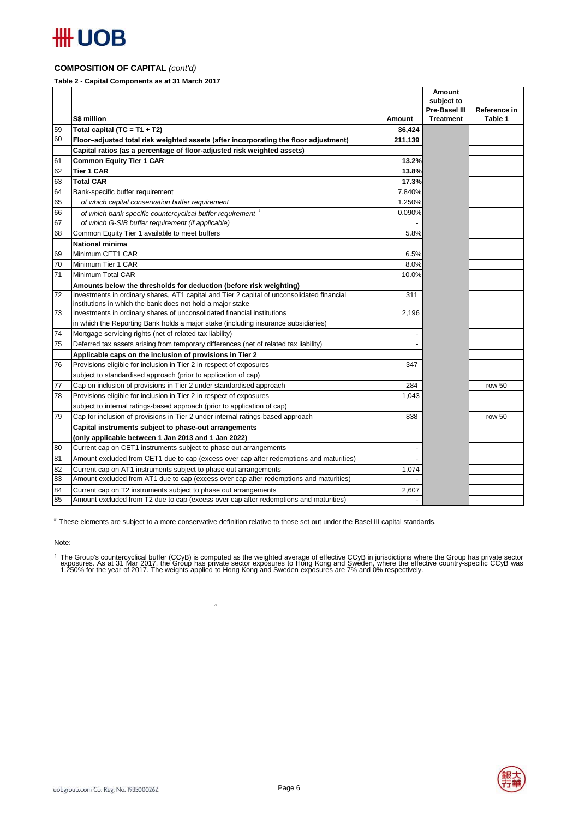### **COMPOSITION OF CAPITAL** *(cont'd)*

**Table 2 - Capital Components as at 31 March 2017**

|          |                                                                                            |               | Amount           |              |
|----------|--------------------------------------------------------------------------------------------|---------------|------------------|--------------|
|          |                                                                                            |               | subject to       |              |
|          | <b>S\$ million</b>                                                                         |               | Pre-Basel III    | Reference in |
|          |                                                                                            | <b>Amount</b> | <b>Treatment</b> | Table 1      |
| 59<br>60 | Total capital (TC = $T1 + T2$ )                                                            | 36,424        |                  |              |
|          | Floor-adjusted total risk weighted assets (after incorporating the floor adjustment)       | 211,139       |                  |              |
|          | Capital ratios (as a percentage of floor-adjusted risk weighted assets)                    |               |                  |              |
| 61       | <b>Common Equity Tier 1 CAR</b>                                                            | 13.2%         |                  |              |
| 62       | <b>Tier 1 CAR</b>                                                                          | 13.8%         |                  |              |
| 63       | <b>Total CAR</b>                                                                           | 17.3%         |                  |              |
| 64       | Bank-specific buffer requirement                                                           | 7.840%        |                  |              |
| 65       | of which capital conservation buffer requirement                                           | 1.250%        |                  |              |
| 66       | of which bank specific countercyclical buffer requirement <sup>1</sup>                     | 0.090%        |                  |              |
| 67       | of which G-SIB buffer requirement (if applicable)                                          |               |                  |              |
| 68       | Common Equity Tier 1 available to meet buffers                                             | 5.8%          |                  |              |
|          | <b>National minima</b>                                                                     |               |                  |              |
| 69       | Minimum CET1 CAR                                                                           | 6.5%          |                  |              |
| 70       | Minimum Tier 1 CAR                                                                         | 8.0%          |                  |              |
| 71       | Minimum Total CAR                                                                          | 10.0%         |                  |              |
|          | Amounts below the thresholds for deduction (before risk weighting)                         |               |                  |              |
| 72       | Investments in ordinary shares, AT1 capital and Tier 2 capital of unconsolidated financial | 311           |                  |              |
|          | institutions in which the bank does not hold a major stake                                 |               |                  |              |
| 73       | Investments in ordinary shares of unconsolidated financial institutions                    | 2,196         |                  |              |
|          | in which the Reporting Bank holds a major stake (including insurance subsidiaries)         |               |                  |              |
| 74       | Mortgage servicing rights (net of related tax liability)                                   |               |                  |              |
| 75       | Deferred tax assets arising from temporary differences (net of related tax liability)      |               |                  |              |
|          | Applicable caps on the inclusion of provisions in Tier 2                                   |               |                  |              |
| 76       | Provisions eligible for inclusion in Tier 2 in respect of exposures                        | 347           |                  |              |
|          | subject to standardised approach (prior to application of cap)                             |               |                  |              |
| 77       | Cap on inclusion of provisions in Tier 2 under standardised approach                       | 284           |                  | row 50       |
| 78       | Provisions eligible for inclusion in Tier 2 in respect of exposures                        | 1,043         |                  |              |
|          | subject to internal ratings-based approach (prior to application of cap)                   |               |                  |              |
| 79       | Cap for inclusion of provisions in Tier 2 under internal ratings-based approach            | 838           |                  | row 50       |
|          | Capital instruments subject to phase-out arrangements                                      |               |                  |              |
|          | (only applicable between 1 Jan 2013 and 1 Jan 2022)                                        |               |                  |              |
| 80       | Current cap on CET1 instruments subject to phase out arrangements                          |               |                  |              |
| 81       | Amount excluded from CET1 due to cap (excess over cap after redemptions and maturities)    |               |                  |              |
| 82       | Current cap on AT1 instruments subject to phase out arrangements                           | 1,074         |                  |              |
| 83       | Amount excluded from AT1 due to cap (excess over cap after redemptions and maturities)     |               |                  |              |
| 84       | Current cap on T2 instruments subject to phase out arrangements                            | 2,607         |                  |              |
| 85       | Amount excluded from T2 due to cap (excess over cap after redemptions and maturities)      |               |                  |              |

# These elements are subject to a more conservative definition relative to those set out under the Basel III capital standards.

 $\overline{1}$ 

Note:

1 The Group's countercyclical buffer (CCyB) is computed as the weighted average of effective CCyB in jurisdictions where the Group has private sector<br>exposures. As at 31 Mar 2017, the Group has private sector exposures to

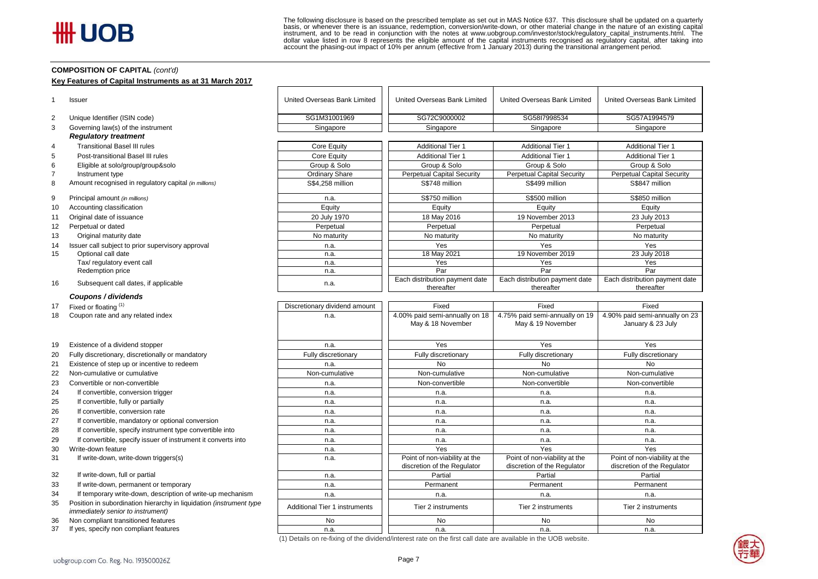The following disclosure is based on the prescribed template as set out in MAS Notice 637. This disclosure shall be updated on a quarterly basis, or whenever there is an issuance, redemption, conversion/write-down, or other material change in the nature of an existing capital instrument, and to be read in conjunction with the notes at www.uobgroup.com/investor/stock/regulatory\_capital\_instruments.html. The dollar value listed in row 8 represents the eligible amount of the capital instruments recognised as regulatory capital, after taking into account the phasing-out impact of 10% per annum (effective from 1 January 2013) during the transitional arrangement period.

#### **COMPOSITION OF CAPITAL** *(cont'd)*

#### **Key Features of Capital Instruments as at 31 March 2017**

|                | Issuer                                                | United Overseas Bank Limited  | United Overseas Bank Limited                        | United Overseas Bank Limited                        | United Overseas Bank Limited                        |
|----------------|-------------------------------------------------------|-------------------------------|-----------------------------------------------------|-----------------------------------------------------|-----------------------------------------------------|
| 2              | Unique Identifier (ISIN code)                         | SG1M31001969                  | SG72C9000002                                        | SG58I7998534                                        | SG57A1994579                                        |
| 3              | Governing law(s) of the instrument                    | Singapore                     | Singapore                                           | Singapore                                           | Singapore                                           |
|                | <b>Regulatory treatment</b>                           |                               |                                                     |                                                     |                                                     |
| 4              | <b>Transitional Basel III rules</b>                   | Core Equity                   | <b>Additional Tier 1</b>                            | <b>Additional Tier 1</b>                            | <b>Additional Tier 1</b>                            |
| 5              | Post-transitional Basel III rules                     | Core Equity                   | <b>Additional Tier 1</b>                            | <b>Additional Tier 1</b>                            | <b>Additional Tier 1</b>                            |
| 6              | Eligible at solo/group/group&solo                     | Group & Solo                  | Group & Solo                                        | Group & Solo                                        | Group & Solo                                        |
| $\overline{7}$ | Instrument type                                       | Ordinary Share                | <b>Perpetual Capital Security</b>                   | <b>Perpetual Capital Security</b>                   | <b>Perpetual Capital Security</b>                   |
| 8              | Amount recognised in regulatory capital (in millions) | S\$4,258 million              | S\$748 million                                      | S\$499 million                                      | S\$847 million                                      |
| 9              | Principal amount (in millions)                        | n.a.                          | S\$750 million                                      | S\$500 million                                      | S\$850 million                                      |
| 10             | Accounting classification                             | Equity                        | Equity                                              | Equity                                              | Equity                                              |
| 11             | Original date of issuance                             | 20 July 1970                  | 18 May 2016                                         | 19 November 2013                                    | 23 July 2013                                        |
| 12             | Perpetual or dated                                    | Perpetual                     | Perpetual                                           | Perpetual                                           | Perpetual                                           |
| 13             | Original maturity date                                | No maturity                   | No maturity                                         | No maturity                                         | No maturity                                         |
| 14             | Issuer call subject to prior supervisory approval     | n.a.                          | Yes                                                 | Yes                                                 | Yes                                                 |
| 15             | Optional call date                                    | n.a.                          | 18 May 2021                                         | 19 November 2019                                    | 23 July 2018                                        |
|                | Tax/ regulatory event call                            | n.a.                          | Yes                                                 | Yes                                                 | Yes                                                 |
|                | Redemption price                                      | n.a.                          | Par                                                 | Par                                                 | Par                                                 |
| 16             | Subsequent call dates, if applicable                  | n.a.                          | Each distribution payment date<br>thereafter        | Each distribution payment date<br>thereafter        | Each distribution payment date<br>thereafter        |
|                | Coupons / dividends                                   |                               |                                                     |                                                     |                                                     |
| 17             | Fixed or floating (1)                                 | Discretionary dividend amount | Fixed                                               | Fixed                                               | Fixed                                               |
| 18             | Coupon rate and any related index                     | n.a.                          | 4.00% paid semi-annually on 18<br>May & 18 November | 4.75% paid semi-annually on 19<br>May & 19 November | 4.90% paid semi-annually on 23<br>January & 23 July |
| 19             | Existence of a dividend stopper                       | n.a.                          | Yes                                                 | Yes                                                 | Yes                                                 |
| 20             | Fully discretionary, discretionally or mandatory      | Fully discretionary           | Fully discretionary                                 | Fully discretionary                                 | Fully discretionary                                 |

- 
- 21 Existence of step up or incentive to redeem n.a. No No No
- 22 Non-cumulative or cumulative Non-cumulative Non-cumulative Non-cumulative Non-cumulative Non-cumulative Non-cumulative Non-cumulative
- 23 Convertible or non-convertible **Non-convertible** Non-convertible Non-convertible Non-convertible Non-convertible
- 24 If convertible, conversion trigger n.a. n.a. n.a. n.a.
- 25 If convertible, fully or partially nearly nearly nearly nearly nearly nearly nearly nearly nearly nearly near
- 26 If convertible, conversion rate n.a. https://www.file.com/en.com/en.com/en.com/en.com/en.com/en.com/en/men.com/en/men.com/en/men.com/en/men.com/en/men.com/en/men.com/en/men.com/en/men.com/en/men.com/en/men.com/en/men/me
- 27 If convertible, mandatory or optional conversion and the state of the n.a. The n.a. n.a. n.a. n.a. n.a. n.a.
- 28 If convertible, specify instrument type convertible into n.a. n.a. n.a. n.a.
- 29 If convertible, specify issuer of instrument it converts into n.a. n.a. n.a. n.a.
- 30 Write-down feature n.a. | Yes Yes Yes
- 31 If write-down, write-down triggers(s) **n.a.** Point of non-viability at the

32 If write-down, full or partial networks are not been assembled by the material partial partial partial Partial Partial Partial Partial Partial Partial Partial Partial Partial Partial Partial Partial Partial Partial Part

- 33 If write-down, permanent or temporary example and the state of the n.a. Permanent Permanent Permanent Permanent Permanent Permanent
- 34 If temporary write-down, description of write-up mechanism n.a. n.a. n.a. n.a.
- 35 Position in subordination hierarchy in liquidation *(instrument type*  **FOSIGOT III SUDDIGITATED THE TIER 2** Instruments Tier 2 instruments immediately senior to instrument Tier 2 instruments Tier 2 instruments Tier 2 instruments Tier 2 instruments immediately senior to instrument Tier 2 inst
- 36 Non compliant transitioned features No No No No
- 37 If yes, specify non compliant features n.a. n.a. n.a. n.a.

| (1) Details on re-fixing of the dividend/interest rate on the first call date are available in the UOB website. |  |  |  |  |  |
|-----------------------------------------------------------------------------------------------------------------|--|--|--|--|--|
|-----------------------------------------------------------------------------------------------------------------|--|--|--|--|--|

discretion of the Regulator

Point of non-viability at the discretion of the Regulator Point of non-viability at the discretion of the Regulator

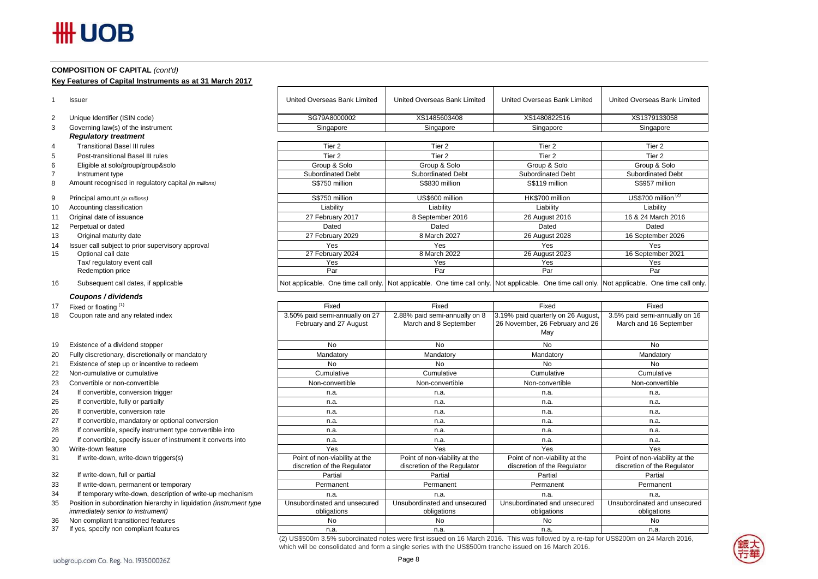# **HH UOB**

#### **COMPOSITION OF CAPITAL** *(cont'd)*

**Key Features of Capital Instruments as at 31 March 2017**

|                | <b>Issuer</b>                                         | United Overseas Bank Limited | United Overseas Bank Limited                                                                                                                    | United Overseas Bank Limited | United Overseas Bank Limited |
|----------------|-------------------------------------------------------|------------------------------|-------------------------------------------------------------------------------------------------------------------------------------------------|------------------------------|------------------------------|
| 2              | Unique Identifier (ISIN code)                         | SG79A8000002                 | XS1485603408                                                                                                                                    | XS1480822516                 | XS1379133058                 |
| 3              | Governing law(s) of the instrument                    | Singapore                    | Singapore                                                                                                                                       | Singapore                    | Singapore                    |
|                | <b>Regulatory treatment</b>                           |                              |                                                                                                                                                 |                              |                              |
| $\overline{4}$ | <b>Transitional Basel III rules</b>                   | Tier 2                       | Tier <sub>2</sub>                                                                                                                               | Tier <sub>2</sub>            | Tier 2                       |
| 5              | Post-transitional Basel III rules                     | Tier 2                       | Tier 2                                                                                                                                          | Tier 2                       | Tier 2                       |
| 6              | Eligible at solo/group/group&solo                     | Group & Solo                 | Group & Solo                                                                                                                                    | Group & Solo                 | Group & Solo                 |
|                | Instrument type                                       | <b>Subordinated Debt</b>     | <b>Subordinated Debt</b>                                                                                                                        | <b>Subordinated Debt</b>     | Subordinated Debt            |
| 8              | Amount recognised in regulatory capital (in millions) | S\$750 million               | S\$830 million                                                                                                                                  | S\$119 million               | S\$957 million               |
| 9              | Principal amount (in millions)                        | S\$750 million               | US\$600 million                                                                                                                                 | HK\$700 million              | US\$700 million $(2)$        |
| 10             | Accounting classification                             | Liability                    | Liability                                                                                                                                       | Liability                    | Liability                    |
| 11             | Original date of issuance                             | 27 February 2017             | 8 September 2016                                                                                                                                | 26 August 2016               | 16 & 24 March 2016           |
| 12             | Perpetual or dated                                    | Dated                        | Dated                                                                                                                                           | Dated                        | Dated                        |
| 13             | Original maturity date                                | 27 February 2029             | 8 March 2027                                                                                                                                    | 26 August 2028               | 16 September 2026            |
| 14             | Issuer call subject to prior supervisory approval     | Yes                          | Yes                                                                                                                                             | Yes                          | Yes                          |
| 15             | Optional call date                                    | 27 February 2024             | 8 March 2022                                                                                                                                    | 26 August 2023               | 16 September 2021            |
|                | Tax/ regulatory event call                            | Yes                          | Yes                                                                                                                                             | Yes                          | Yes                          |
|                | Redemption price                                      | Par                          | Par                                                                                                                                             | Par                          | Par                          |
| 16             | Subsequent call dates, if applicable                  |                              | Not applicable. One time call only. Not applicable. One time call only. Not applicable. One time call only. Not applicable. One time call only. |                              |                              |
|                | Coupons / dividends                                   |                              |                                                                                                                                                 |                              |                              |

| Fixed                                                    | Fixed                                                  | Fixed                                                                        | Fixed                                                   |
|----------------------------------------------------------|--------------------------------------------------------|------------------------------------------------------------------------------|---------------------------------------------------------|
| 3.50% paid semi-annually on 27<br>February and 27 August | 2.88% paid semi-annually on 8<br>March and 8 September | 3.19% paid quarterly on 26 August,<br>26 November, 26 February and 26<br>May | 3.5% paid semi-annually on 16<br>March and 16 September |
| <b>No</b>                                                | <b>No</b>                                              | <b>No</b>                                                                    | <b>No</b>                                               |
| Mandatory                                                | Mandatory                                              | Mandatory                                                                    | Mandatory                                               |
| <b>No</b>                                                | No                                                     | <b>No</b>                                                                    | <b>No</b>                                               |
| Cumulative                                               | Cumulative                                             | Cumulative                                                                   | Cumulative                                              |
| Non-convertible                                          | Non-convertible                                        | Non-convertible                                                              | Non-convertible                                         |
| n.a.                                                     | n.a.                                                   | n.a.                                                                         | n.a.                                                    |
| n.a.                                                     | n.a.                                                   | n.a.                                                                         | n.a.                                                    |
| n.a.                                                     | n.a.                                                   | n.a.                                                                         | n.a.                                                    |
| n.a.                                                     | n.a.                                                   | n.a.                                                                         | n.a.                                                    |
| n.a.                                                     | n.a.                                                   | n.a.                                                                         | n.a.                                                    |
| n.a.                                                     | n.a.                                                   | n.a.                                                                         | n.a.                                                    |
| Yes                                                      | Yes                                                    | Yes                                                                          | Yes                                                     |
| Point of non-viability at the                            | Point of non-viability at the                          | Point of non-viability at the                                                | Point of non-viability at the                           |
| discretion of the Regulator                              | discretion of the Regulator                            | discretion of the Regulator                                                  | discretion of the Regulator                             |
| Partial                                                  | Partial                                                | Partial                                                                      | Partial                                                 |
| Permanent                                                | Permanent                                              | Permanent                                                                    | Permanent                                               |
| n.a.                                                     | n.a.                                                   | n.a.                                                                         | n.a.                                                    |
| Unsubordinated and unsecured<br>obligations              | Unsubordinated and unsecured<br>obligations            | Unsubordinated and unsecured<br>obligations                                  | Unsubordinated and unsecured<br>obligations             |
| <b>No</b>                                                | <b>No</b>                                              | No                                                                           | <b>No</b>                                               |
| n.a.                                                     | n.a.                                                   | n.a.                                                                         | n.a.                                                    |

17 Fixed or floating  $(1)$ <br>18 Coupon rate and ar Coupon rate and any related index

- 19 Existence of a dividend stopper
- 20 Fully discretionary, discretionally or mandatory
- 21 Existence of step up or incentive to redeem
- 22 Non-cumulative or cumulative
- 23 Convertible or non-convertible
- 24 If convertible, conversion trigger
- 25 If convertible, fully or partially
- 26 If convertible, conversion rate
- 27 If convertible, mandatory or optional conversion
- 28 If convertible, specify instrument type convertible into
- 29 If convertible, specify issuer of instrument it converts into
- 30 Write-down feature
- 31 If write-down, write-down triggers(s)

32 If write-down, full or partial

- 33 If write-down, permanent or temporary
- 34 If temporary write-down, description of write-up mechanism
- 35 Position in subordination hierarchy in liquidation *(instrument immediately senior to instrument)*
- 36 Non compliant transitioned features
- 37 If yes, specify non compliant features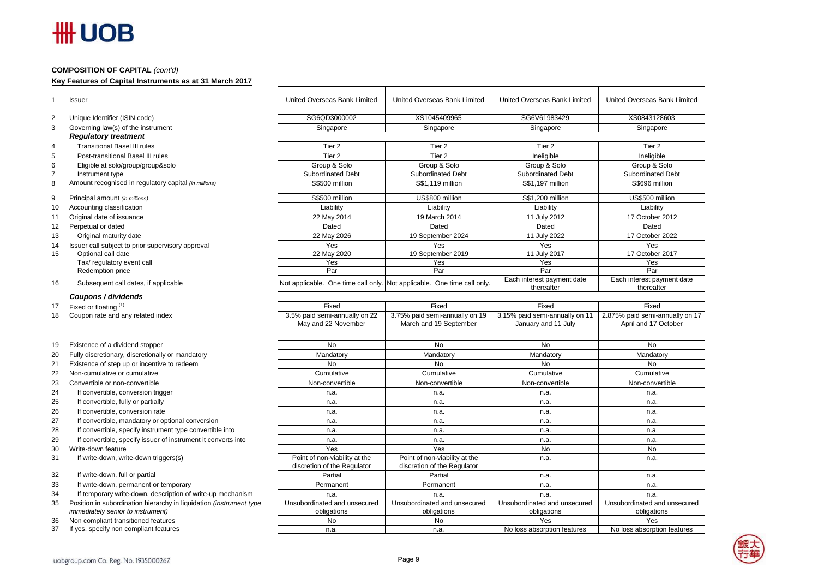# **HH UOB**

#### **COMPOSITION OF CAPITAL** *(cont'd)*

**Key Features of Capital Instruments as at 31 March 2017**

|                | <b>Issuer</b>                                         | United Overseas Bank Limited                         | United Overseas Bank Limited                                            | United Overseas Bank Limited                          | United Overseas Bank Limited                            |
|----------------|-------------------------------------------------------|------------------------------------------------------|-------------------------------------------------------------------------|-------------------------------------------------------|---------------------------------------------------------|
| $\overline{2}$ | Unique Identifier (ISIN code)                         | SG6QD3000002                                         | XS1045409965                                                            | SG6V61983429                                          | XS0843128603                                            |
| 3              | Governing law(s) of the instrument                    | Singapore                                            | Singapore                                                               | Singapore                                             | Singapore                                               |
|                | <b>Regulatory treatment</b>                           |                                                      |                                                                         |                                                       |                                                         |
| 4              | <b>Transitional Basel III rules</b>                   | Tier <sub>2</sub>                                    | Tier <sub>2</sub>                                                       | Tier <sub>2</sub>                                     | Tier 2                                                  |
| 5              | Post-transitional Basel III rules                     | Tier <sub>2</sub>                                    | Tier <sub>2</sub>                                                       | Ineligible                                            | Ineligible                                              |
| 6              | Eligible at solo/group/group&solo                     | Group & Solo                                         | Group & Solo                                                            | Group & Solo                                          | Group & Solo                                            |
|                | Instrument type                                       | Subordinated Debt                                    | <b>Subordinated Debt</b>                                                | <b>Subordinated Debt</b>                              | <b>Subordinated Debt</b>                                |
| 8              | Amount recognised in regulatory capital (in millions) | S\$500 million                                       | S\$1.119 million                                                        | S\$1.197 million                                      | S\$696 million                                          |
| 9              | Principal amount (in millions)                        | S\$500 million                                       | US\$800 million                                                         | S\$1.200 million                                      | US\$500 million                                         |
| 10             | Accounting classification                             | Liability                                            | Liability                                                               | Liability                                             | Liability                                               |
| 11             | Original date of issuance                             | 22 May 2014                                          | 19 March 2014                                                           | 11 July 2012                                          | 17 October 2012                                         |
| 12             | Perpetual or dated                                    | Dated                                                | Dated                                                                   | Dated                                                 | Dated                                                   |
| 13             | Original maturity date                                | 22 May 2026                                          | 19 September 2024                                                       | 11 July 2022                                          | 17 October 2022                                         |
| 14             | Issuer call subject to prior supervisory approval     | Yes                                                  | Yes                                                                     | Yes                                                   | Yes                                                     |
| 15             | Optional call date                                    | 22 May 2020                                          | 19 September 2019                                                       | 11 July 2017                                          | 17 October 2017                                         |
|                | Tax/ regulatory event call                            | Yes                                                  | Yes                                                                     | Yes                                                   | Yes                                                     |
|                | Redemption price                                      | Par                                                  | Par                                                                     | Par                                                   | Par                                                     |
| 16             | Subsequent call dates, if applicable                  |                                                      | Not applicable. One time call only. Not applicable. One time call only. | Each interest payment date<br>thereafter              | Each interest payment date<br>thereafter                |
|                | Coupons / dividends                                   |                                                      |                                                                         |                                                       |                                                         |
| 17             | Fixed or floating (1)                                 | Fixed                                                | Fixed                                                                   | Fixed                                                 | Fixed                                                   |
| 18             | Coupon rate and any related index                     | 3.5% paid semi-annually on 22<br>May and 22 November | 3.75% paid semi-annually on 19<br>March and 19 September                | 3.15% paid semi-annually on 11<br>January and 11 July | 2.875% paid semi-annually on 17<br>April and 17 October |

19 Existence of a dividend stopper

- 20 Fully discretionary, discretionally or mandatory
- 21 Existence of step up or incentive to redeem
- 22 Non-cumulative or cumulative
- 23 Convertible or non-convertible
- 24 If convertible, conversion trigger
- 25 If convertible, fully or partially
- 26 If convertible, conversion rate
- 27 If convertible, mandatory or optional conversion
- 28 If convertible, specify instrument type convertible into
- 29 If convertible, specify issuer of instrument it converts into
- 30 Write-down feature
- 31 If write-down, write-down triggers(s)

32 If write-down, full or partial

- 33 If write-down, permanent or temporary
- 34 If temporary write-down, description of write-up mechanism
- 35 Position in subordination hierarchy in liquidation *(instrument type immediately senior to instrument)*
- 36 Non compliant transitioned features
- 37 If yes, specify non compliant features

| 3.5% paid semi-annually on 22<br>May and 22 November         | 3.75% paid semi-annually on 19<br>March and 19 September     | 3.15% paid semi-annually on 11<br>January and 11 July | 2.875% paid semi-annually on 17<br>April and 17 October |
|--------------------------------------------------------------|--------------------------------------------------------------|-------------------------------------------------------|---------------------------------------------------------|
| No.                                                          | No                                                           | No                                                    | No                                                      |
| Mandatory                                                    | Mandatory                                                    | Mandatory                                             | Mandatory                                               |
| No.                                                          | <b>No</b>                                                    | No                                                    | No                                                      |
| Cumulative                                                   | Cumulative                                                   | Cumulative                                            | Cumulative                                              |
| Non-convertible                                              | Non-convertible                                              | Non-convertible                                       | Non-convertible                                         |
| n.a.                                                         | n.a.                                                         | n.a.                                                  | n.a.                                                    |
| n.a.                                                         | n.a.                                                         | n.a.                                                  | n.a.                                                    |
| n.a.                                                         | n.a.                                                         | n.a.                                                  | n.a.                                                    |
| n.a.                                                         | n.a.                                                         | n.a.                                                  | n.a.                                                    |
| n.a.                                                         | n.a.                                                         | n.a.                                                  | n.a.                                                    |
| n.a.                                                         | n.a.                                                         | n.a.                                                  | n.a.                                                    |
| Yes                                                          | <b>Yes</b>                                                   | No                                                    | No                                                      |
| Point of non-viability at the<br>discretion of the Regulator | Point of non-viability at the<br>discretion of the Regulator | n.a.                                                  | n.a.                                                    |
| Partial                                                      | Partial                                                      | n.a.                                                  | n.a.                                                    |
| Permanent                                                    | Permanent                                                    | n.a.                                                  | n.a.                                                    |
| n.a.                                                         | n.a.                                                         | n.a.                                                  | n.a.                                                    |
| Unsubordinated and unsecured                                 | Unsubordinated and unsecured                                 | Unsubordinated and unsecured                          | Unsubordinated and unsecured                            |
| obligations                                                  | obligations                                                  | obligations                                           | obligations                                             |
| No.                                                          | <b>No</b>                                                    | Yes                                                   | Yes                                                     |
| n.a.                                                         | n.a.                                                         | No loss absorption features                           | No loss absorption features                             |

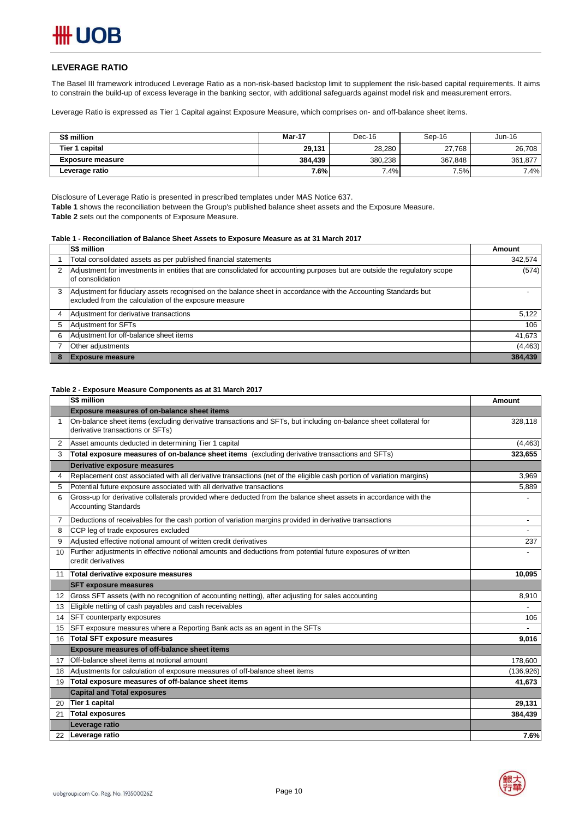#### **LEVERAGE RATIO**

The Basel III framework introduced Leverage Ratio as a non-risk-based backstop limit to supplement the risk-based capital requirements. It aims to constrain the build-up of excess leverage in the banking sector, with additional safeguards against model risk and measurement errors.

Leverage Ratio is expressed as Tier 1 Capital against Exposure Measure, which comprises on- and off-balance sheet items.

| S\$ million             | Mar-17  | Dec-16  | Sep-16  | Jun-16  |
|-------------------------|---------|---------|---------|---------|
| Tier 1 capital          | 29,131  | 28.280  | 27.768  | 26,708  |
| <b>Exposure measure</b> | 384.439 | 380.238 | 367.848 | 361,877 |
| Leverage ratio          | 7.6%    | $7.4\%$ | 7.5%    | 7.4%    |

Disclosure of Leverage Ratio is presented in prescribed templates under MAS Notice 637.

**Table 1** shows the reconciliation between the Group's published balance sheet assets and the Exposure Measure.

**Table 2** sets out the components of Exposure Measure.

#### **Table 1 - Reconciliation of Balance Sheet Assets to Exposure Measure as at 31 March 2017**

|   | S\$ million                                                                                                                                                              | Amount   |
|---|--------------------------------------------------------------------------------------------------------------------------------------------------------------------------|----------|
|   | Total consolidated assets as per published financial statements                                                                                                          | 342,574  |
|   | Adjustment for investments in entities that are consolidated for accounting purposes but are outside the regulatory scope<br>of consolidation                            | (574)    |
| 3 | Adjustment for fiduciary assets recognised on the balance sheet in accordance with the Accounting Standards but<br>excluded from the calculation of the exposure measure |          |
| 4 | Adjustment for derivative transactions                                                                                                                                   | 5,122    |
| 5 | <b>Adjustment for SFTs</b>                                                                                                                                               | 106      |
| 6 | Adjustment for off-balance sheet items                                                                                                                                   | 41,673   |
|   | Other adjustments                                                                                                                                                        | (4, 463) |
| 8 | <b>Exposure measure</b>                                                                                                                                                  | 384,439  |

#### **Table 2 - Exposure Measure Components as at 31 March 2017**

|              | S\$ million                                                                                                                                     | <b>Amount</b>  |
|--------------|-------------------------------------------------------------------------------------------------------------------------------------------------|----------------|
|              | <b>Exposure measures of on-balance sheet items</b>                                                                                              |                |
| $\mathbf{1}$ | On-balance sheet items (excluding derivative transactions and SFTs, but including on-balance sheet collateral for                               | 328,118        |
|              | derivative transactions or SFTs)                                                                                                                |                |
| 2            | Asset amounts deducted in determining Tier 1 capital                                                                                            | (4, 463)       |
| 3            | Total exposure measures of on-balance sheet items (excluding derivative transactions and SFTs)                                                  | 323,655        |
|              | Derivative exposure measures                                                                                                                    |                |
| 4            | Replacement cost associated with all derivative transactions (net of the eligible cash portion of variation margins)                            | 3,969          |
| 5            | Potential future exposure associated with all derivative transactions                                                                           | 5,889          |
| 6            | Gross-up for derivative collaterals provided where deducted from the balance sheet assets in accordance with the<br><b>Accounting Standards</b> |                |
| 7            | Deductions of receivables for the cash portion of variation margins provided in derivative transactions                                         | $\overline{a}$ |
| 8            | CCP leg of trade exposures excluded                                                                                                             |                |
| 9            | Adjusted effective notional amount of written credit derivatives                                                                                | 237            |
| 10           | Further adjustments in effective notional amounts and deductions from potential future exposures of written                                     |                |
|              | credit derivatives                                                                                                                              |                |
| 11           | Total derivative exposure measures                                                                                                              | 10,095         |
|              | <b>SFT exposure measures</b>                                                                                                                    |                |
| 12           | Gross SFT assets (with no recognition of accounting netting), after adjusting for sales accounting                                              | 8,910          |
| 13           | Eligible netting of cash payables and cash receivables                                                                                          |                |
| 14           | SFT counterparty exposures                                                                                                                      | 106            |
| 15           | SFT exposure measures where a Reporting Bank acts as an agent in the SFTs                                                                       |                |
| 16           | <b>Total SFT exposure measures</b>                                                                                                              | 9,016          |
|              | Exposure measures of off-balance sheet items                                                                                                    |                |
| 17           | Off-balance sheet items at notional amount                                                                                                      | 178,600        |
| 18           | Adjustments for calculation of exposure measures of off-balance sheet items                                                                     | (136, 926)     |
| 19           | Total exposure measures of off-balance sheet items                                                                                              | 41,673         |
|              | <b>Capital and Total exposures</b>                                                                                                              |                |
| 20           | <b>Tier 1 capital</b>                                                                                                                           | 29,131         |
| 21           | <b>Total exposures</b>                                                                                                                          | 384,439        |
|              | Leverage ratio                                                                                                                                  |                |
| 22           | Leverage ratio                                                                                                                                  | 7.6%           |